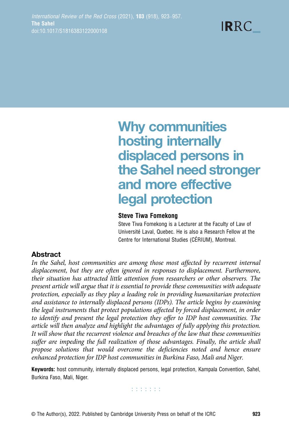# Why communities hosting internally displaced persons in the Sahel need stronger and more effective legal protection

### Steve Tiwa Fomekong

Steve Tiwa Fomekong is a Lecturer at the Faculty of Law of Université Laval, Quebec. He is also a Research Fellow at the Centre for International Studies (CÉRIUM), Montreal.

# Abstract

In the Sahel, host communities are among those most affected by recurrent internal displacement, but they are often ignored in responses to displacement. Furthermore, their situation has attracted little attention from researchers or other observers. The present article will argue that it is essential to provide these communities with adequate protection, especially as they play a leading role in providing humanitarian protection and assistance to internally displaced persons (IDPs). The article begins by examining the legal instruments that protect populations affected by forced displacement, in order to identify and present the legal protection they offer to IDP host communities. The article will then analyze and highlight the advantages of fully applying this protection. It will show that the recurrent violence and breaches of the law that these communities suffer are impeding the full realization of those advantages. Finally, the article shall propose solutions that would overcome the deficiencies noted and hence ensure enhanced protection for IDP host communities in Burkina Faso, Mali and Niger.

Keywords: host community, internally displaced persons, legal protection, Kampala Convention, Sahel, Burkina Faso, Mali, Niger.

**Editoria**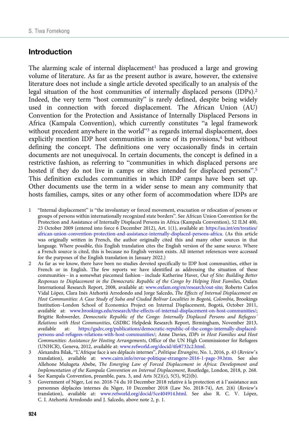# Introduction

The alarming scale of internal displacement<sup>1</sup> has produced a large and growing volume of literature. As far as the present author is aware, however, the extensive literature does not include a single article devoted specifically to an analysis of the legal situation of the host communities of internally displaced persons (IDPs).<sup>2</sup> Indeed, the very term "host community" is rarely defined, despite being widely used in connection with forced displacement. The African Union (AU) Convention for the Protection and Assistance of Internally Displaced Persons in Africa (Kampala Convention), which currently constitutes "a legal framework without precedent anywhere in the world"<sup>3</sup> as regards internal displacement, does explicitly mention IDP host communities in some of its provisions,<sup>4</sup> but without defining the concept. The definitions one very occasionally finds in certain documents are not unequivocal. In certain documents, the concept is defined in a restrictive fashion, as referring to "communities in which displaced persons are hosted if they do not live in camps or sites intended for displaced persons".<sup>5</sup> This definition excludes communities in which IDP camps have been set up. Other documents use the term in a wider sense to mean any community that hosts families, camps, sites or any other form of accommodation where IDPs are

- 1 "Internal displacement" is "the involuntary or forced movement, evacuation or relocation of persons or groups of persons within internationally recognized state borders". See African Union Convention for the Protection and Assistance of Internally Displaced Persons in Africa (Kampala Convention), 52 ILM 400, 23 October 2009 (entered into force 6 December 2012), Art. 1(1), available at: [https://au.int/en/treaties/](https://au.int/en/treaties/african-union-convention-protection-and-assistance-internally-displaced-persons-africa) [african-union-convention-protection-and-assistance-internally-displaced-persons-africa.](https://au.int/en/treaties/african-union-convention-protection-and-assistance-internally-displaced-persons-africa) (As this article was originally written in French, the author originally cited this and many other sources in that language. Where possible, this English translation cites the English version of the same source. Where a French source is cited, this is because no English version exists. All internet references were accessed for the purposes of the English translation in January 2022.)
- 2 As far as we know, there have been no studies devoted specifically to IDP host communities, either in French or in English. The few reports we have identified as addressing the situation of these communities – in a somewhat piecemeal fashion – include Katherine Haver, Out of Site: Building Better Responses to Displacement in the Democratic Republic of the Congo by Helping Host Families, Oxfam International Research Report, 2008, available at: [www.oxfam.org/en/research/out-site;](https://www.oxfam.org/en/research/out-site) Roberto Carlos Vidal López, Clara Inés Atehortú Arredondo and Jorge Salcedo, The Effects of Internal Displacement on Host Communities: A Case Study of Suba and Ciudad Bolívar Localities in Bogotá, Colombia, Brookings Institution–London School of Economics Project on Internal Displacement, Bogotá, October 2011, available at: [www.brookings.edu/research/the-effects-of-internal-displacement-on-host-communities/;](https://www.brookings.edu/research/the-effects-of-internal-displacement-on-host-communities/) Brigitte Rohwerder, Democratic Republic of the Congo: Internally Displaced Persons and Refugees' Relations with Host Communities, GSDRC Helpdesk Research Report, Birmingham, November 2013, available at: [https://gsdrc.org/publications/democratic-republic-of-the-congo-internally-displaced](https://gsdrc.org/publications/democratic-republic-of-the-congo-internally-displaced-persons-and-refugees-relations-with-host-communities/)[persons-and-refugees-relations-with-host-communities/;](https://gsdrc.org/publications/democratic-republic-of-the-congo-internally-displaced-persons-and-refugees-relations-with-host-communities/) Anne Davies, IDPs in Host Families and Host Communities: Assistance for Hosting Arrangements, Office of the UN High Commissioner for Refugees (UNHCR), Geneva, 2012, available at: [www.refworld.org/docid/4fe8732c2.html](https://www.refworld.org/docid/4fe8732c2.html).
- 3 Alexandra Bilak, "L'Afrique face à ses déplacés internes", Politique Étrangère, No. 1, 2016, p. 43 (Review's translation), available at: [www.cairn.info/revue-politique-etrangere-2016-1-page-39.htm.](https://www.cairn.info/revue-politique-etrangere-2016-1-page-39.htm) See also Allehone Mulugeta Abebe, The Emerging Law of Forced Displacement in Africa: Development and Implementation of the Kampala Convention on Internal Displacement, Routledge, London, 2018, p. 268.
- See Kampala Convention, preamble, para. 3, and Arts  $3(2)(c)$ ,  $5(5)$ ,  $9(2)(b)$ .
- 5 Government of Niger, Loi no. 2018-74 du 10 December 2018 relative à la protection et à l'assistance aux personnes déplacées internes du Niger, 10 December 2018 (Law No. 2018-74), Art. 2(6) (Review's translation), available at: [www.refworld.org/docid/5ce404914.html.](https://www.refworld.org/docid/5ce404914.html) See also R. C. V. López, C. I. Atehortú Arredondo and J. Salcedo, above note 2, p. 1.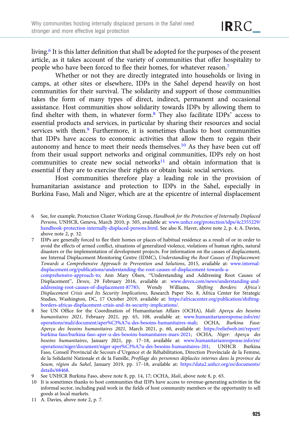living.6 It is this latter definition that shall be adopted for the purposes of the present article, as it takes account of the variety of communities that offer hospitality to people who have been forced to flee their homes, for whatever reason.7

Whether or not they are directly integrated into households or living in camps, at other sites or elsewhere, IDPs in the Sahel depend heavily on host communities for their survival. The solidarity and support of those communities takes the form of many types of direct, indirect, permanent and occasional assistance. Host communities show solidarity towards IDPs by allowing them to find shelter with them, in whatever form.8 They also facilitate IDPs' access to essential products and services, in particular by sharing their resources and social services with them.9 Furthermore, it is sometimes thanks to host communities that IDPs have access to economic activities that allow them to regain their autonomy and hence to meet their needs themselves.10 As they have been cut off from their usual support networks and original communities, IDPs rely on host communities to create new social networks $11$  and obtain information that is essential if they are to exercise their rights or obtain basic social services.

Host communities therefore play a leading role in the provision of humanitarian assistance and protection to IDPs in the Sahel, especially in Burkina Faso, Mali and Niger, which are at the epicentre of internal displacement

7 IDPs are generally forced to flee their homes or places of habitual residence as a result of or in order to avoid the effects of armed conflict, situations of generalized violence, violations of human rights, natural disasters or the implementation of development projects. For information on the causes of displacement, see Internal Displacement Monitoring Centre (IDMC), Understanding the Root Causes of Displacement: Towards a Comprehensive Approach to Prevention and Solutions, 2015, available at: [www.internal](https://www.internal-displacement.org/publications/understanding-the-root-causes-of-displacement-towards-a-comprehensive-approach-to)[displacement.org/publications/understanding-the-root-causes-of-displacement-towards-a](https://www.internal-displacement.org/publications/understanding-the-root-causes-of-displacement-towards-a-comprehensive-approach-to)[comprehensive-approach-to;](https://www.internal-displacement.org/publications/understanding-the-root-causes-of-displacement-towards-a-comprehensive-approach-to) Ann Mary Olsen, "Understanding and Addressing Root Causes of Displacement", Devex, 29 February 2016, available at: [www.devex.com/news/understanding-and](https://www.devex.com/news/understanding-and-addressing-root-causes-of-displacement-87785)[addressing-root-causes-of-displacement-87785;](https://www.devex.com/news/understanding-and-addressing-root-causes-of-displacement-87785) Wendy Williams, Shifting Borders: Africa's Displacement Crisis and Its Security Implications, Research Paper No. 8, Africa Center for Strategic Studies, Washington, DC, 17 October 2019, available at: [https://africacenter.org/publication/shifting-](https://africacenter.org/publication/shifting-borders-africas-displacement-crisis-and-its-security-implications/)

- [borders-africas-displacement-crisis-and-its-security-implications/](https://africacenter.org/publication/shifting-borders-africas-displacement-crisis-and-its-security-implications/). 8 See UN Office for the Coordination of Humanitarian Affairs (OCHA), Mali: Aperçu des besoins humanitaires 2021, February 2021, pp. 65, 108, available at: [www.humanitarianresponse.info/en/](https://www.humanitarianresponse.info/en/operations/mali/document/aper%C3%A7u-des-besoins-humanitaires-mali) [operations/mali/document/aper%C3%A7u-des-besoins-humanitaires-mali;](https://www.humanitarianresponse.info/en/operations/mali/document/aper%C3%A7u-des-besoins-humanitaires-mali) OCHA, Burkina Faso: Aperçu des besoins humanitaires 2021, March 2021, p. 60, available at: [https://reliefweb.int/report/](https://reliefweb.int/report/burkina-faso/burkina-faso-aper-u-des-besoins-humanitaires-mars-2021) [burkina-faso/burkina-faso-aper-u-des-besoins-humanitaires-mars-2021;](https://reliefweb.int/report/burkina-faso/burkina-faso-aper-u-des-besoins-humanitaires-mars-2021) OCHA, Niger: Aperçu des besoins humanitaires, January 2021, pp. 17–18, available at: [www.humanitarianresponse.info/en/](https://www.humanitarianresponse.info/en/operations/niger/document/niger-aper%C3%A7u-des-besoins-humanitaires-201) [operations/niger/document/niger-aper%C3%A7u-des-besoins-humanitaires-201;](https://www.humanitarianresponse.info/en/operations/niger/document/niger-aper%C3%A7u-des-besoins-humanitaires-201) UNHCR Burkina Faso, Conseil Provincial de Secours d'Urgence et de Réhabilitation, Direction Provinciale de la Femme, de la Solidarité Nationale et de la Famille, Profilage des personnes déplacées internes dans la province du Soum, région du Sahel, January 2019, pp. 17–18, available at: [https://data2.unhcr.org/es/documents/](https://data2.unhcr.org/es/documents/details/68468) [details/68468.](https://data2.unhcr.org/es/documents/details/68468)
- See UNHCR Burkina Faso, above note 8, pp. 14, 17; OCHA, Mali, above note 8, p. 65.
- 10 It is sometimes thanks to host communities that IDPs have access to revenue-generating activities in the informal sector, including paid work in the fields of host community members or the opportunity to sell goods at local markets.
- 11 A. Davies, above note 2, p. 7.

<sup>6</sup> See, for example, Protection Cluster Working Group, Handbook for the Protection of Internally Displaced Persons, UNHCR, Geneva, March 2010, p. 505, available at: [www.unhcr.org/protection/idps/4c2355229/](https://www.unhcr.org/protection/idps/4c2355229/handbook-protection-internally-displaced-persons.html) [handbook-protection-internally-displaced-persons.html.](https://www.unhcr.org/protection/idps/4c2355229/handbook-protection-internally-displaced-persons.html) See also K. Haver, above note 2, p. 4; A. Davies, above note 2, p. 32.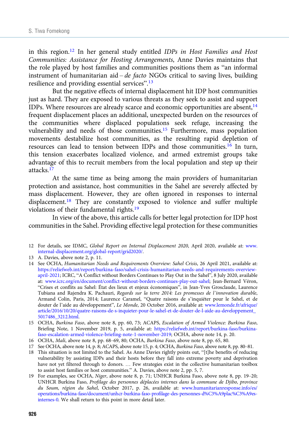in this region.<sup>12</sup> In her general study entitled *IDPs in Host Families and Host* Communities: Assistance for Hosting Arrangements, Anne Davies maintains that the role played by host families and communities positions them as "an informal instrument of humanitarian aid – de facto NGOs critical to saving lives, building resilience and providing essential services".<sup>13</sup>

But the negative effects of internal displacement hit IDP host communities just as hard. They are exposed to various threats as they seek to assist and support IDPs. Where resources are already scarce and economic opportunities are absent, $14$ frequent displacement places an additional, unexpected burden on the resources of the communities where displaced populations seek refuge, increasing the vulnerability and needs of those communities.<sup>15</sup> Furthermore, mass population movements destabilize host communities, as the resulting rapid depletion of resources can lead to tension between IDPs and those communities.16 In turn, this tension exacerbates localized violence, and armed extremist groups take advantage of this to recruit members from the local population and step up their attacks.17

At the same time as being among the main providers of humanitarian protection and assistance, host communities in the Sahel are severely affected by mass displacement. However, they are often ignored in responses to internal displacement.18 They are constantly exposed to violence and suffer multiple violations of their fundamental rights.19

In view of the above, this article calls for better legal protection for IDP host communities in the Sahel. Providing effective legal protection for these communities

- 13 A. Davies, above note 2, p. 11.
- 14 See OCHA, Humanitarian Needs and Requirements Overview: Sahel Crisis, 26 April 2021, available at: [https://reliefweb.int/report/burkina-faso/sahel-crisis-humanitarian-needs-and-requirements-overview](https://reliefweb.int/report/burkina-faso/sahel-crisis-humanitarian-needs-and-requirements-overview-april-2021)[april-2021;](https://reliefweb.int/report/burkina-faso/sahel-crisis-humanitarian-needs-and-requirements-overview-april-2021) ICRC, "A Conflict without Borders Continues to Play Out in the Sahel", 8 July 2020, available at: [www.icrc.org/en/document/conflict-without-borders-continues-play-out-sahel](https://www.icrc.org/en/document/conflict-without-borders-continues-play-out-sahel); Jean-Bernard Véron, "Crises et conflits au Sahel: État des lieux et enjeux économiques", in Jean-Yves Grosclaude, Laurence Tubiana and Rajendra K. Pachauri, Regards sur la terre 2014: Les promesses de l'innovation durable, Armand Colin, Paris, 2014; Laurence Caramel, "Quatre raisons de s'inquiéter pour le Sahel, et de douter de l'aide au développement", Le Monde, 20 October 2016, available at: [www.lemonde.fr/afrique/](https://www.lemonde.fr/afrique/article/2016/10/20/quatre-raisons-de-s-inquieter-pour-le-sahel-et-de-douter-de-l-aide-au-developpement_5017486_3212.html) [article/2016/10/20/quatre-raisons-de-s-inquieter-pour-le-sahel-et-de-douter-de-l-aide-au-developpement\\_](https://www.lemonde.fr/afrique/article/2016/10/20/quatre-raisons-de-s-inquieter-pour-le-sahel-et-de-douter-de-l-aide-au-developpement_5017486_3212.html) [5017486\\_3212.html](https://www.lemonde.fr/afrique/article/2016/10/20/quatre-raisons-de-s-inquieter-pour-le-sahel-et-de-douter-de-l-aide-au-developpement_5017486_3212.html).
- 15 OCHA, Burkina Faso, above note 8, pp. 60, 73; ACAPS, Escalation of Armed Violence: Burkina Faso, Briefing Note, 1 November 2019, p. 5, available at: [https://reliefweb.int/report/burkina-faso/burkina](https://reliefweb.int/report/burkina-faso/burkina-faso-escalation-armed-violence-briefing-note-1-november-2019)[faso-escalation-armed-violence-briefing-note-1-november-2019](https://reliefweb.int/report/burkina-faso/burkina-faso-escalation-armed-violence-briefing-note-1-november-2019); OCHA, above note 14, p. 20.
- 16 OCHA, Mali, above note 8, pp. 68–69, 80; OCHA, Burkina Faso, above note 8, pp. 65, 80.
- 17 See OCHA, above note 14, p. 8; ACAPS, above note 15, p. 4; OCHA, Burkina Faso, above note 8, pp. 80–81.
- 18 This situation is not limited to the Sahel. As Anne Davies rightly points out, "[t]he benefits of reducing vulnerability by assisting IDPs and their hosts before they fall into extreme poverty and deprivation have not yet filtered through to donors. … Few strategies exist in the collective humanitarian toolbox to assist host families or host communities." A. Davies, above note 2, pp. 5, 7.
- 19 For examples, see OCHA, Niger, above note 8, p. 71; UNHCR Burkina Faso, above note 8, pp. 19–20; UNHCR Burkina Faso, Profilage des personnes déplacées internes dans la commune de Djibo, province du Soum, région du Sahel, October 2017, p. 26, available at: [www.humanitarianresponse.info/es/](http://www.humanitarianresponse.info/es/operations/burkina-faso/document/unhcr-burkina-faso-profilage-des-personnes-d%C3%A9plac%C3%A9es-internes-0) [operations/burkina-faso/document/unhcr-burkina-faso-profilage-des-personnes-d%C3%A9plac%C3%A9es](http://www.humanitarianresponse.info/es/operations/burkina-faso/document/unhcr-burkina-faso-profilage-des-personnes-d%C3%A9plac%C3%A9es-internes-0)[internes-0.](http://www.humanitarianresponse.info/es/operations/burkina-faso/document/unhcr-burkina-faso-profilage-des-personnes-d%C3%A9plac%C3%A9es-internes-0) We shall return to this point in more detail later.

<sup>12</sup> For details, see IDMC, Global Report on Internal Displacement 2020, April 2020, available at: [www.](https://www.internal-displacement.org/global-report/grid2020/) [internal-displacement.org/global-report/grid2020/.](https://www.internal-displacement.org/global-report/grid2020/)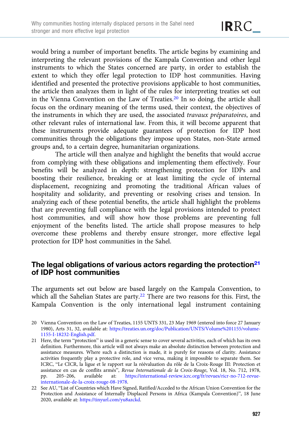would bring a number of important benefits. The article begins by examining and interpreting the relevant provisions of the Kampala Convention and other legal instruments to which the States concerned are party, in order to establish the extent to which they offer legal protection to IDP host communities. Having identified and presented the protective provisions applicable to host communities, the article then analyzes them in light of the rules for interpreting treaties set out in the Vienna Convention on the Law of Treaties.20 In so doing, the article shall focus on the ordinary meaning of the terms used, their context, the objectives of the instruments in which they are used, the associated travaux préparatoires, and other relevant rules of international law. From this, it will become apparent that these instruments provide adequate guarantees of protection for IDP host communities through the obligations they impose upon States, non-State armed groups and, to a certain degree, humanitarian organizations.

The article will then analyze and highlight the benefits that would accrue from complying with these obligations and implementing them effectively. Four benefits will be analyzed in depth: strengthening protection for IDPs and boosting their resilience, breaking or at least limiting the cycle of internal displacement, recognizing and promoting the traditional African values of hospitality and solidarity, and preventing or resolving crises and tension. In analyzing each of these potential benefits, the article shall highlight the problems that are preventing full compliance with the legal provisions intended to protect host communities, and will show how those problems are preventing full enjoyment of the benefits listed. The article shall propose measures to help overcome these problems and thereby ensure stronger, more effective legal protection for IDP host communities in the Sahel.

# The legal obligations of various actors regarding the protection<sup>21</sup> of IDP host communities

The arguments set out below are based largely on the Kampala Convention, to which all the Sahelian States are party.<sup>22</sup> There are two reasons for this. First, the Kampala Convention is the only international legal instrument containing

<sup>20</sup> Vienna Convention on the Law of Treaties, 1155 UNTS 331, 23 May 1969 (entered into force 27 January 1980), Arts 31, 32, available at: [https://treaties.un.org/doc/Publication/UNTS/Volume%201155/volume-](https://treaties.un.org/doc/Publication/UNTS/Volume%201155/volume-1155-I-18232-English.pdf)[1155-I-18232-English.pdf](https://treaties.un.org/doc/Publication/UNTS/Volume%201155/volume-1155-I-18232-English.pdf).

<sup>21</sup> Here, the term "protection" is used in a generic sense to cover several activities, each of which has its own definition. Furthermore, this article will not always make an absolute distinction between protection and assistance measures. Where such a distinction is made, it is purely for reasons of clarity. Assistance activities frequently play a protective role, and vice versa, making it impossible to separate them. See ICRC, "Le CICR, la ligue et le rapport sur la réévaluation du rôle de la Croix-Rouge III: Protection et assistance en cas de conflits armés", Revue Internationale de la Croix-Rouge, Vol. 18, No. 712, 1978, pp. 205–206, available at: [https://international-review.icrc.org/fr/revues/ricr-no-712-revue](https://international-review.icrc.org/fr/revues/ricr-no-712-revue-internationale-de-la-croix-rouge-08-1978)[internationale-de-la-croix-rouge-08-1978](https://international-review.icrc.org/fr/revues/ricr-no-712-revue-internationale-de-la-croix-rouge-08-1978).

<sup>22</sup> See AU, "List of Countries which Have Signed, Ratified/Acceded to the African Union Convention for the Protection and Assistance of Internally Displaced Persons in Africa (Kampala Convention)", 18 June 2020, available at: [https://tinyurl.com/yu8azckd.](https://tinyurl.com/yu8azckd)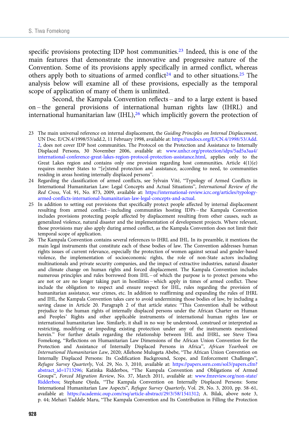specific provisions protecting IDP host communities.<sup>23</sup> Indeed, this is one of the main features that demonstrate the innovative and progressive nature of the Convention. Some of its provisions apply specifically in armed conflict, whereas others apply both to situations of armed conflict<sup>24</sup> and to other situations.<sup>25</sup> The analysis below will examine all of these provisions, especially as the temporal scope of application of many of them is unlimited.

Second, the Kampala Convention reflects – and to a large extent is based on – the general provisions of international human rights law (IHRL) and international humanitarian law  $(HL)$ ,<sup>26</sup> which implicitly govern the protection of

- 23 The main universal reference on internal displacement, the Guiding Principles on Internal Displacement, UN Doc. E/CN.4/1998/53/add.2, 11 February 1998, available at: [https://undocs.org/E/CN.4/1998/53/Add.](https://undocs.org/E/CN.4/1998/53/Add.2) [2](https://undocs.org/E/CN.4/1998/53/Add.2), does not cover IDP host communities. The Protocol on the Protection and Assistance to Internally Displaced Persons, 30 November 2006, available at: [www.unhcr.org/protection/idps/5ad5a3aa4/](https://www.unhcr.org/protection/idps/5ad5a3aa4/international-conference-great-lakes-region-protocol-protection-assistance.html) [international-conference-great-lakes-region-protocol-protection-assistance.html](https://www.unhcr.org/protection/idps/5ad5a3aa4/international-conference-great-lakes-region-protocol-protection-assistance.html), applies only to the Great Lakes region and contains only one provision regarding host communities. Article  $4(1)(e)$ requires member States to "[e]xtend protection and assistance, according to need, to communities residing in areas hosting internally displaced persons".
- 24 Regarding the classification of armed conflicts, see Sylvain Vité, "Typology of Armed Conflicts in International Humanitarian Law: Legal Concepts and Actual Situations", International Review of the Red Cross, Vol. 91, No. 873, 2009, available at: [https://international-review.icrc.org/articles/typology](https://international-review.icrc.org/articles/typology-armed-conflicts-international-humanitarian-law-legal-concepts-and-actual)[armed-conflicts-international-humanitarian-law-legal-concepts-and-actual.](https://international-review.icrc.org/articles/typology-armed-conflicts-international-humanitarian-law-legal-concepts-and-actual)
- 25 In addition to setting out provisions that specifically protect people affected by internal displacement resulting from armed conflict – including communities hosting IDPs – the Kampala Convention includes provisions protecting people affected by displacement resulting from other causes, such as generalized violence, natural disaster and the implementation of development projects. Where relevant, those provisions may also apply during armed conflict, as the Kampala Convention does not limit their temporal scope of application.
- 26 The Kampala Convention contains several references to IHRL and IHL. In its preamble, it mentions the main legal instruments that constitute each of these bodies of law. The Convention addresses human rights issues of current relevance, especially the protection of women against sexual and gender-based violence, the implementation of socioeconomic rights, the role of non-State actors including multinationals and private security companies, and the impact of extractive industries, natural disaster and climate change on human rights and forced displacement. The Kampala Convention includes numerous principles and rules borrowed from IHL – of which the purpose is to protect persons who are not or are no longer taking part in hostilities – which apply in times of armed conflict. These include the obligation to respect and ensure respect for IHL, rules regarding the provision of humanitarian assistance, war crimes, etc. In addition to reaffirming and expanding the rules of IHRL and IHL, the Kampala Convention takes care to avoid undermining those bodies of law, by including a saving clause in Article 20. Paragraph 2 of that article states: "This Convention shall be without prejudice to the human rights of internally displaced persons under the African Charter on Human and Peoples' Rights and other applicable instruments of international human rights law or international humanitarian law. Similarly, it shall in no way be understood, construed or interpreted as restricting, modifying or impeding existing protection under any of the instruments mentioned herein." For further details regarding the relationship between IHL and IHRL, see Steve Tiwa Fomekong, "Reflections on Humanitarian Law Dimensions of the African Union Convention for the Protection and Assistance of Internally Displaced Persons in Africa", African Yearbook on International Humanitarian Law, 2020; Allehone Mulugeta Abebe, "The African Union Convention on Internally Displaced Persons: Its Codification Background, Scope, and Enforcement Challenges", Refugee Survey Quarterly, Vol. 29, No. 3, 2010, available at: [https://papers.ssrn.com/sol3/papers.cfm?](https://papers.ssrn.com/sol3/papers.cfm?abstract_id=1713296) [abstract\\_id=1713296;](https://papers.ssrn.com/sol3/papers.cfm?abstract_id=1713296) Katinka Ridderbos, "The Kampala Convention and Obligations of Armed Groups", Forced Migration Review, No. 37, March 2011, available at: [www.fmreview.org/non-state/](https://www.fmreview.org/non-state/Ridderbos) [Ridderbos;](https://www.fmreview.org/non-state/Ridderbos) Stephane Ojeda, "The Kampala Convention on Internally Displaced Persons: Some International Humanitarian Law Aspects", Refugee Survey Quarterly, Vol. 29, No. 3, 2010, pp. 58–61, available at: <https://academic.oup.com/rsq/article-abstract/29/3/58/1541312>; A. Bilak, above note 3, p. 44; Mehari Taddele Maru, "The Kampala Convention and Its Contribution in Filling the Protection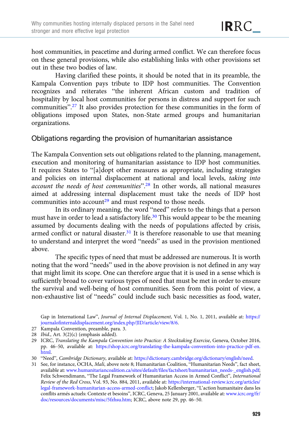host communities, in peacetime and during armed conflict. We can therefore focus on these general provisions, while also establishing links with other provisions set out in these two bodies of law.

Having clarified these points, it should be noted that in its preamble, the Kampala Convention pays tribute to IDP host communities. The Convention recognizes and reiterates "the inherent African custom and tradition of hospitality by local host communities for persons in distress and support for such communities". <sup>27</sup> It also provides protection for these communities in the form of obligations imposed upon States, non-State armed groups and humanitarian organizations.

## Obligations regarding the provision of humanitarian assistance

The Kampala Convention sets out obligations related to the planning, management, execution and monitoring of humanitarian assistance to IDP host communities. It requires States to "[a]dopt other measures as appropriate, including strategies and policies on internal displacement at national and local levels, taking into account the needs of host communities".<sup>28</sup> In other words, all national measures aimed at addressing internal displacement must take the needs of IDP host communities into account<sup>29</sup> and must respond to those needs.

In its ordinary meaning, the word "need" refers to the things that a person must have in order to lead a satisfactory life.<sup>30</sup> This would appear to be the meaning assumed by documents dealing with the needs of populations affected by crisis, armed conflict or natural disaster.<sup>31</sup> It is therefore reasonable to use that meaning to understand and interpret the word "needs" as used in the provision mentioned above.

The specific types of need that must be addressed are numerous. It is worth noting that the word "needs" used in the above provision is not defined in any way that might limit its scope. One can therefore argue that it is used in a sense which is sufficiently broad to cover various types of need that must be met in order to ensure the survival and well-being of host communities. Seen from this point of view, a non-exhaustive list of "needs" could include such basic necessities as food, water,

Gap in International Law", Journal of Internal Displacement, Vol. 1, No. 1, 2011, available at: [https://](https://journalofinternaldisplacement.org/index.php/JID/article/view/8/6) [journalofinternaldisplacement.org/index.php/JID/article/view/8/6](https://journalofinternaldisplacement.org/index.php/JID/article/view/8/6).

- 27 Kampala Convention, preamble, para. 3.
- 28 Ibid., Art. 3(2)(c) (emphasis added).
- 29 ICRC, Translating the Kampala Convention into Practice: A Stocktaking Exercise, Geneva, October 2016, pp. 46–50, available at: [https://shop.icrc.org/translating-the-kampala-convention-into-practice-pdf-en.](https://shop.icrc.org/translating-the-kampala-convention-into-practice-pdf-en.html) [html](https://shop.icrc.org/translating-the-kampala-convention-into-practice-pdf-en.html).
- 30 "Need", Cambridge Dictionary, available at: <https://dictionary.cambridge.org/dictionary/english/need>.

<sup>31</sup> See, for instance, OCHA, Mali, above note 8; Humanitarian Coalition, "Humanitarian Needs", fact sheet, available at: [www.humanitariancoalition.ca/sites/default/files/factsheet/humanitarian\\_needs-\\_english.pdf](https://www.humanitariancoalition.ca/sites/default/files/factsheet/humanitarian_needs-_english.pdf); Felix Schwendimann, "The Legal Framework of Humanitarian Access in Armed Conflict", International Review of the Red Cross, Vol. 93, No. 884, 2011, available at: [https://international-review.icrc.org/articles/](https://international-review.icrc.org/articles/legal-framework-humanitarian-access-armed-conflict) [legal-framework-humanitarian-access-armed-conflict](https://international-review.icrc.org/articles/legal-framework-humanitarian-access-armed-conflict); Jakob Kellenberger, "L'action humanitaire dans les conflits armés actuels: Contexte et besoins", ICRC, Geneva, 25 January 2001, available at: [www.icrc.org/fr/](http://www.icrc.org/fr/doc/resources/documents/misc/5fzhsu.htm) [doc/resources/documents/misc/5fzhsu.htm;](http://www.icrc.org/fr/doc/resources/documents/misc/5fzhsu.htm) ICRC, above note 29, pp. 46–50.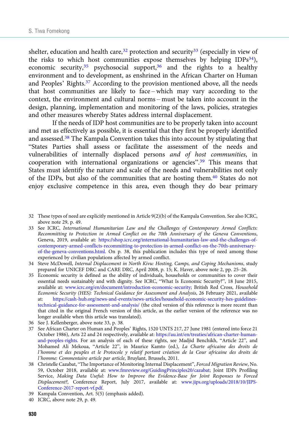shelter, education and health care,  $32$  protection and security  $33$  (especially in view of the risks to which host communities expose themselves by helping IDPs<sup>34</sup>), economic security,  $35$  psychosocial support,  $36$  and the rights to a healthy environment and to development, as enshrined in the African Charter on Human and Peoples' Rights.37 According to the provision mentioned above, all the needs that host communities are likely to face – which may vary according to the context, the environment and cultural norms – must be taken into account in the design, planning, implementation and monitoring of the laws, policies, strategies and other measures whereby States address internal displacement.

If the needs of IDP host communities are to be properly taken into account and met as effectively as possible, it is essential that they first be properly identified and assessed.38 The Kampala Convention takes this into account by stipulating that "States Parties shall assess or facilitate the assessment of the needs and vulnerabilities of internally displaced persons and of host communities, in cooperation with international organizations or agencies".<sup>39</sup> This means that States must identify the nature and scale of the needs and vulnerabilities not only of the IDPs, but also of the communities that are hosting them.40 States do not enjoy exclusive competence in this area, even though they do bear primary

- 33 See ICRC, International Humanitarian Law and the Challenges of Contemporary Armed Conflicts: Recommitting to Protection in Armed Conflict on the 70th Anniversary of the Geneva Conventions, Geneva, 2019, available at: [https://shop.icrc.org/international-humanitarian-law-and-the-challenges-of](https://shop.icrc.org/international-humanitarian-law-and-the-challenges-of-contemporary-armed-conflicts-recommitting-to-protection-in-armed-conflict-on-the-70th-anniversary-of-the-geneva-conventions.html)[contemporary-armed-conflicts-recommitting-to-protection-in-armed-conflict-on-the-70th-anniversary](https://shop.icrc.org/international-humanitarian-law-and-the-challenges-of-contemporary-armed-conflicts-recommitting-to-protection-in-armed-conflict-on-the-70th-anniversary-of-the-geneva-conventions.html)[of-the-geneva-conventions.html](https://shop.icrc.org/international-humanitarian-law-and-the-challenges-of-contemporary-armed-conflicts-recommitting-to-protection-in-armed-conflict-on-the-70th-anniversary-of-the-geneva-conventions.html). On p. 38, this publication includes this type of need among those experienced by civilian populations affected by armed conflict.
- 34 Steve McDowell, Internal Displacement in North Kivu: Hosting, Camps, and Coping Mechanisms, study prepared for UNICEF DRC and CARE DRC, April 2008, p. 15; K. Haver, above note 2, pp. 25–26.
- 35 Economic security is defined as the ability of individuals, households or communities to cover their essential needs sustainably and with dignity. See ICRC, "What Is Economic Security?", 18 June 2015, available at: [www.icrc.org/en/document/introduction-economic-security;](https://www.icrc.org/en/document/introduction-economic-security) British Red Cross, Household Economic Security (HES): Technical Guidance for Assessment and Analysis, 26 February 2021, available at: [https://cash-hub.org/news-and-events/news-articles/household-economic-security-hes-guidelines](https://cash-hub.org/news-and-events/news-articles/household-economic-security-hes-guidelines-technical-guidance-for-assessment-and-analysis/)[technical-guidance-for-assessment-and-analysis/](https://cash-hub.org/news-and-events/news-articles/household-economic-security-hes-guidelines-technical-guidance-for-assessment-and-analysis/) (the cited version of this reference is more recent than that cited in the original French version of this article, as the earlier version of the reference was no longer available when this article was translated).
- 36 See J. Kellenberger, above note 33, p. 38.
- 37 See African Charter on Human and Peoples' Rights, 1520 UNTS 217, 27 June 1981 (entered into force 21 October 1986), Arts 22 and 24 respectively, available at: [https://au.int/en/treaties/african-charter-human](https://au.int/en/treaties/african-charter-human-and-peoples-rights)[and-peoples-rights](https://au.int/en/treaties/african-charter-human-and-peoples-rights). For an analysis of each of these rights, see Madjid Benchikh, "Article 22", and Mohamed Ali Mekoua, "Article 22", in Maurice Kamto (ed.), La Charte africaine des droits de l'homme et des peuples et le Protocole y relatif portant création de la Cour africaine des droits de l'homme: Commentaire article par article, Bruylant, Brussels, 2011.
- 38 Christelle Cazabat, "The Importance of Monitoring Internal Displacement", Forced Migration Review, No. 59, October 2018, available at: [www.fmreview.org/GuidingPrinciples20/cazabat;](https://www.fmreview.org/GuidingPrinciples20/cazabat) Joint IDPs Profiling Service, Making Data Useful: How to Improve the Evidence-Base for Joint Responses to Forced Displacement?, Conference Report, July 2017, available at: [www.jips.org/uploads/2018/10/JIPS-](https://www.jips.org/uploads/2018/10/JIPS-Conference-2017-report-vf.pdf)[Conference-2017-report-vf.pdf.](https://www.jips.org/uploads/2018/10/JIPS-Conference-2017-report-vf.pdf)
- 39 Kampala Convention, Art. 5(5) (emphasis added).
- 40 ICRC, above note 29, p. 49.

<sup>32</sup> These types of need are explicitly mentioned in Article 9(2)(b) of the Kampala Convention. See also ICRC, above note 29, p. 49.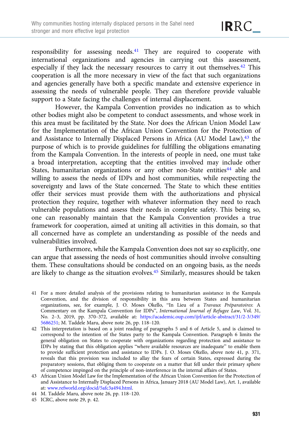responsibility for assessing needs.<sup>41</sup> They are required to cooperate with international organizations and agencies in carrying out this assessment, especially if they lack the necessary resources to carry it out themselves.<sup>42</sup> This cooperation is all the more necessary in view of the fact that such organizations and agencies generally have both a specific mandate and extensive experience in assessing the needs of vulnerable people. They can therefore provide valuable support to a State facing the challenges of internal displacement.

However, the Kampala Convention provides no indication as to which other bodies might also be competent to conduct assessments, and whose work in this area must be facilitated by the State. Nor does the African Union Model Law for the Implementation of the African Union Convention for the Protection of and Assistance to Internally Displaced Persons in Africa (AU Model Law),<sup>43</sup> the purpose of which is to provide guidelines for fulfilling the obligations emanating from the Kampala Convention. In the interests of people in need, one must take a broad interpretation, accepting that the entities involved may include other States, humanitarian organizations or any other non-State entities<sup>44</sup> able and willing to assess the needs of IDPs and host communities, while respecting the sovereignty and laws of the State concerned. The State to which these entities offer their services must provide them with the authorizations and physical protection they require, together with whatever information they need to reach vulnerable populations and assess their needs in complete safety. This being so, one can reasonably maintain that the Kampala Convention provides a true framework for cooperation, aimed at uniting all activities in this domain, so that all concerned have as complete an understanding as possible of the needs and vulnerabilities involved.

Furthermore, while the Kampala Convention does not say so explicitly, one can argue that assessing the needs of host communities should involve consulting them. These consultations should be conducted on an ongoing basis, as the needs are likely to change as the situation evolves.45 Similarly, measures should be taken

- 41 For a more detailed analysis of the provisions relating to humanitarian assistance in the Kampala Convention, and the division of responsibility in this area between States and humanitarian organizations, see, for example, J. O. Moses Okello, "In Lieu of a Travaux Préparatoires: A Commentary on the Kampala Convention for IDPs", International Journal of Refugee Law, Vol. 31, No. 2–3, 2019, pp. 370–372, available at: [https://academic.oup.com/ijrl/article-abstract/31/2-3/349/](https://academic.oup.com/ijrl/article-abstract/31/2-3/349/5686251) [5686251;](https://academic.oup.com/ijrl/article-abstract/31/2-3/349/5686251) M. Taddele Maru, above note 26, pp. 118–120.
- 42 This interpretation is based on a joint reading of paragraphs 5 and 6 of Article 5, and is claimed to correspond to the intention of the States party to the Kampala Convention. Paragraph 6 limits the general obligation on States to cooperate with organizations regarding protection and assistance to IDPs by stating that this obligation applies "where available resources are inadequate" to enable them to provide sufficient protection and assistance to IDPs. J. O. Moses Okello, above note 41, p. 371, reveals that this provision was included to allay the fears of certain States, expressed during the preparatory sessions, that obliging them to cooperate on a matter that fell under their primary sphere of competence impinged on the principle of non-interference in the internal affairs of States.
- 43 African Union Model Law for the Implementation of the African Union Convention for the Protection of and Assistance to Internally Displaced Persons in Africa, January 2018 (AU Model Law), Art. 1, available at: [www.refworld.org/docid/5afc3a494.html.](https://www.refworld.org/docid/5afc3a494.html)
- 44 M. Taddele Maru, above note 26, pp. 118–120.
- 45 ICRC, above note 29, p. 42.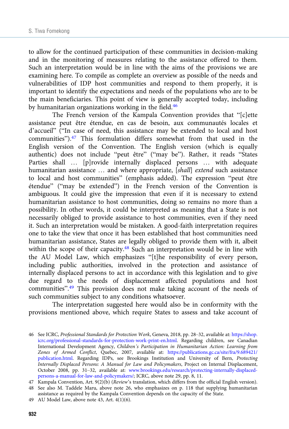to allow for the continued participation of these communities in decision-making and in the monitoring of measures relating to the assistance offered to them. Such an interpretation would be in line with the aims of the provisions we are examining here. To compile as complete an overview as possible of the needs and vulnerabilities of IDP host communities and respond to them properly, it is important to identify the expectations and needs of the populations who are to be the main beneficiaries. This point of view is generally accepted today, including by humanitarian organizations working in the field.<sup>46</sup>

The French version of the Kampala Convention provides that "[c]ette assistance peut être étendue, en cas de besoin, aux communautés locales et d'accueil" ("In case of need, this assistance may be extended to local and host communities").<sup>47</sup> This formulation differs somewhat from that used in the English version of the Convention. The English version (which is equally authentic) does not include "peut être" ("may be"). Rather, it reads "States Parties shall … [p]rovide internally displaced persons … with adequate humanitarian assistance ... and where appropriate, [shall] extend such assistance to local and host communities" (emphasis added). The expression "peut être étendue" ("may be extended") in the French version of the Convention is ambiguous. It could give the impression that even if it is necessary to extend humanitarian assistance to host communities, doing so remains no more than a possibility. In other words, it could be interpreted as meaning that a State is not necessarily obliged to provide assistance to host communities, even if they need it. Such an interpretation would be mistaken. A good-faith interpretation requires one to take the view that once it has been established that host communities need humanitarian assistance, States are legally obliged to provide them with it, albeit within the scope of their capacity.<sup>48</sup> Such an interpretation would be in line with the AU Model Law, which emphasizes "[t]he responsibility of every person, including public authorities, involved in the protection and assistance of internally displaced persons to act in accordance with this legislation and to give due regard to the needs of displacement affected populations and host communities".<sup>49</sup> This provision does not make taking account of the needs of such communities subject to any conditions whatsoever.

The interpretation suggested here would also be in conformity with the provisions mentioned above, which require States to assess and take account of

<sup>46</sup> See ICRC, Professional Standards for Protection Work, Geneva, 2018, pp. 28–32, available at: [https://shop.](https://shop.icrc.org/professional-standards-for-protection-work-print-en.html) [icrc.org/professional-standards-for-protection-work-print-en.html.](https://shop.icrc.org/professional-standards-for-protection-work-print-en.html) Regarding children, see Canadian International Development Agency, Children's Participation in Humanitarian Action: Learning from Zones of Armed Conflict, Quebec, 2007, available at: [https://publications.gc.ca/site/fra/9.689421/](https://publications.gc.ca/site/fra/9.689421/publication.html) [publication.html](https://publications.gc.ca/site/fra/9.689421/publication.html). Regarding IDPs, see Brookings Institution and University of Bern, Protecting Internally Displaced Persons: A Manual for Law and Policymakers, Project on Internal Displacement, October 2008, pp. 31–32, available at: [www.brookings.edu/research/protecting-internally-displaced](https://www.brookings.edu/research/protecting-internally-displaced-persons-a-manual-for-law-and-policymakers/)[persons-a-manual-for-law-and-policymakers/](https://www.brookings.edu/research/protecting-internally-displaced-persons-a-manual-for-law-and-policymakers/); ICRC, above note 29, pp. 8, 11.

<sup>47</sup> Kampala Convention, Art. 9(2)(b) (Review's translation, which differs from the official English version).

<sup>48</sup> See also M. Taddele Maru, above note 26, who emphasizes on p. 118 that supplying humanitarian assistance as required by the Kampala Convention depends on the capacity of the State.

<sup>49</sup> AU Model Law, above note 43, Art. 4(1)(6).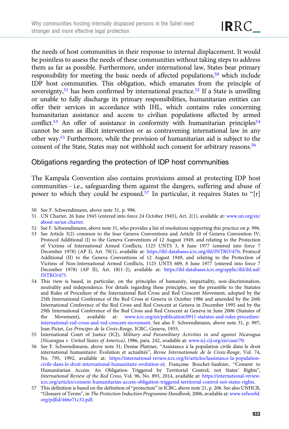the needs of host communities in their response to internal displacement. It would be pointless to assess the needs of these communities without taking steps to address them as far as possible. Furthermore, under international law, States bear primary responsibility for meeting the basic needs of affected populations, $50$  which include IDP host communities. This obligation, which emanates from the principle of sovereignty,<sup>51</sup> has been confirmed by international practice.<sup>52</sup> If a State is unwilling or unable to fully discharge its primary responsibilities, humanitarian entities can offer their services in accordance with IHL, which contains rules concerning humanitarian assistance and access to civilian populations affected by armed conflict.<sup>53</sup> An offer of assistance in conformity with humanitarian principles<sup>54</sup> cannot be seen as illicit intervention or as contravening international law in any other way.55 Furthermore, while the provision of humanitarian aid is subject to the consent of the State, States may not withhold such consent for arbitrary reasons.<sup>56</sup>

## Obligations regarding the protection of IDP host communities

The Kampala Convention also contains provisions aimed at protecting IDP host communities – i.e., safeguarding them against the dangers, suffering and abuse of power to which they could be exposed.<sup>57</sup> In particular, it requires States to "[r]

- 50 See F. Schwendimann, above note 31, p. 996.
- 51 UN Charter, 26 June 1945 (entered into force 24 October 1945), Art. 2(1), available at: [www.un.org/en/](https://www.un.org/en/about-us/un-charter) [about-us/un-charter](https://www.un.org/en/about-us/un-charter).
- 52 See F. Schwendimann, above note 31, who provides a list of resolutions supporting this practice on p. 996.
- 53 See Article 3(2) common to the four Geneva Conventions and Article 10 of Geneva Convention IV; Protocol Additional (I) to the Geneva Conventions of 12 August 1949, and relating to the Protection of Victims of International Armed Conflicts, 1125 UNTS 3, 8 June 1977 (entered into force 7 December 1978) (AP I), Art. 70(1), available at: <https://ihl-databases.icrc.org/ihl/INTRO/470>; Protocol Additional (II) to the Geneva Conventions of 12 August 1949, and relating to the Protection of Victims of Non-International Armed Conflicts, 1125 UNTS 609, 8 June 1977 (entered into force 7 December 1978) (AP II), Art. 18(1–2), available at: [https://ihl-databases.icrc.org/applic/ihl/ihl.nsf/](https://ihl-databases.icrc.org/applic/ihl/ihl.nsf/INTRO/475) [INTRO/475](https://ihl-databases.icrc.org/applic/ihl/ihl.nsf/INTRO/475).
- 54 This view is based, in particular, on the principles of humanity, impartiality, non-discrimination, neutrality and independence. For details regarding these principles, see the preamble to the Statutes and Rules of Procedure of the International Red Cross and Red Crescent Movement, adopted by the 25th International Conference of the Red Cross at Geneva in October 1986 and amended by the 26th International Conference of the Red Cross and Red Crescent at Geneva in December 1995 and by the 29th International Conference of the Red Cross and Red Crescent at Geneva in June 2006 (Statutes of the Movement), available at: [www.icrc.org/en/publication/0911-statutes-and-rules-procedure](https://www.icrc.org/en/publication/0911-statutes-and-rules-procedure-international-red-cross-and-red-crescent-movement)[international-red-cross-and-red-crescent-movement.](https://www.icrc.org/en/publication/0911-statutes-and-rules-procedure-international-red-cross-and-red-crescent-movement) See also F. Schwendimann, above note 31, p. 997; Jean Pictet, Les Principes de la Croix-Rouge, ICRC, Geneva, 1955.
- 55 International Court of Justice (ICJ), Military and Paramilitary Activities in and against Nicaragua (Nicaragua v. United States of America), 1986, para. 242, available at: [www.icj-cij.org/en/case/70.](https://www.icj-cij.org/en/case/70)
- 56 See F. Schwendimann, above note 31; Denise Plattner, "Assistance à la population civile dans le droit international humanitaire: Évolution et actualités", Revue Internationale de la Croix-Rouge, Vol. 74, No. 795, 1992, available at: [https://international-review.icrc.org/fr/articles/lassistance-la-population](https://international-review.icrc.org/fr/articles/lassistance-la-population-civile-dans-le-droit-international-humanitaire-evolution-et)[civile-dans-le-droit-international-humanitaire-evolution-et;](https://international-review.icrc.org/fr/articles/lassistance-la-population-civile-dans-le-droit-international-humanitaire-evolution-et) Françoise Bouchet-Saulnier, "Consent to Humanitarian Access: An Obligation Triggered by Territorial Control, not States' Rights", International Review of the Red Cross, Vol. 96, No. 893, 2014, available at: [https://international-review.](https://international-review.icrc.org/articles/consent-humanitarian-access-obligation-triggered-territorial-control-not-states-rights) [icrc.org/articles/consent-humanitarian-access-obligation-triggered-territorial-control-not-states-rights](https://international-review.icrc.org/articles/consent-humanitarian-access-obligation-triggered-territorial-control-not-states-rights).
- 57 This definition is based on the definition of "protection" in ICRC, above note 21, p. 206. See also UNHCR, "Glossary of Terms", in The Protection Induction Programme Handbook, 2006, available at: [www.refworld.](https://www.refworld.org/pdfid/466e71c32.pdf) [org/pdfid/466e71c32.pdf](https://www.refworld.org/pdfid/466e71c32.pdf).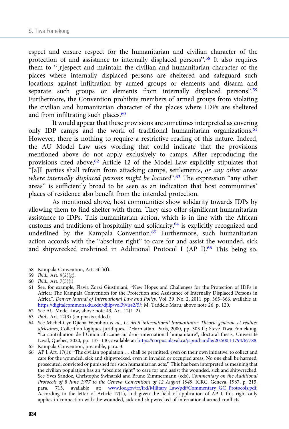espect and ensure respect for the humanitarian and civilian character of the protection of and assistance to internally displaced persons".<sup>58</sup> It also requires them to "[r]espect and maintain the civilian and humanitarian character of the places where internally displaced persons are sheltered and safeguard such locations against infiltration by armed groups or elements and disarm and separate such groups or elements from internally displaced persons".<sup>59</sup> Furthermore, the Convention prohibits members of armed groups from violating the civilian and humanitarian character of the places where IDPs are sheltered and from infiltrating such places.<sup>60</sup>

It would appear that these provisions are sometimes interpreted as covering only IDP camps and the work of traditional humanitarian organizations. $61$ However, there is nothing to require a restrictive reading of this nature. Indeed, the AU Model Law uses wording that could indicate that the provisions mentioned above do not apply exclusively to camps. After reproducing the provisions cited above,<sup>62</sup> Article 12 of the Model Law explicitly stipulates that "[a]ll parties shall refrain from attacking camps, settlements, or any other areas where internally displaced persons might be located".<sup>63</sup> The expression "any other areas" is sufficiently broad to be seen as an indication that host communities' places of residence also benefit from the intended protection.

As mentioned above, host communities show solidarity towards IDPs by allowing them to find shelter with them. They also offer significant humanitarian assistance to IDPs. This humanitarian action, which is in line with the African customs and traditions of hospitality and solidarity,64 is explicitly recognized and underlined by the Kampala Convention.<sup>65</sup> Furthermore, such humanitarian action accords with the "absolute right" to care for and assist the wounded, sick and shipwrecked enshrined in Additional Protocol I (AP I).<sup>66</sup> This being so,

- 58 Kampala Convention, Art. 3(1)(f).
- 59 Ibid., Art. 9(2)(g).

- 61 See, for example, Flavia Zorzi Giustiniani, "New Hopes and Challenges for the Protection of IDPs in Africa: The Kampala Convention for the Protection and Assistance of Internally Displaced Persons in Africa", Denver Journal of International Law and Policy, Vol. 39, No. 2, 2011, pp. 365–366, available at: [https://digitalcommons.du.edu/djilp/vol39/iss2/5/;](https://digitalcommons.du.edu/djilp/vol39/iss2/5/) M. Taddele Maru, above note 26, p. 120.
- 62 See AU Model Law, above note 43, Art. 12(1–2).
- 63 Ibid., Art. 12(3) (emphasis added).
- 64 See Michel-Cyr Djiena Wembou et al., Le droit international humanitaire: Théorie générale et réalités africaines, Collection logiques juridiques, L'Harmattan, Paris, 2000, pp. 303 ff.; Steve Tiwa Fomekong, "La contribution de l'Union africaine au droit international humanitaire", doctoral thesis, Université Laval, Quebec, 2020, pp. 137–140, available at: [https://corpus.ulaval.ca/jspui/handle/20.500.11794/67788.](https://corpus.ulaval.ca/jspui/handle/20.500.11794/67788)
- 65 Kampala Convention, preamble, para. 3.
- 66 AP I, Art. 17(1): "The civilian population … shall be permitted, even on their own initiative, to collect and care for the wounded, sick and shipwrecked, even in invaded or occupied areas. No one shall be harmed, prosecuted, convicted or punished for such humanitarian acts." This has been interpreted as meaning that the civilian population has an "absolute right" to care for and assist the wounded, sick and shipwrecked. See Yves Sandoz, Christophe Swinarski and Bruno Zimmermann (eds), Commentary on the Additional Protocols of 8 June 1977 to the Geneva Conventions of 12 August 1949, ICRC, Geneva, 1987, p. 215, para. 713, available at: [www.loc.gov/rr/frd/Military\\_Law/pdf/Commentary\\_GC\\_Protocols.pdf.](https://www.loc.gov/rr/frd/Military_Law/pdf/Commentary_GC_Protocols.pdf) According to the letter of Article 17(1), and given the field of application of AP I, this right only applies in connection with the wounded, sick and shipwrecked of international armed conflicts.

<sup>60</sup> Ibid., Art. 7(5)(i).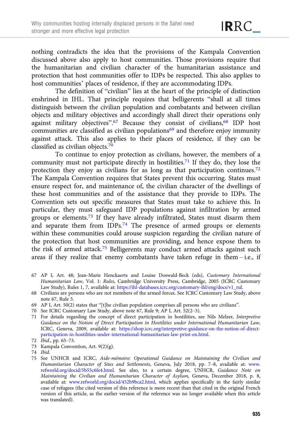nothing contradicts the idea that the provisions of the Kampala Convention discussed above also apply to host communities. Those provisions require that the humanitarian and civilian character of the humanitarian assistance and protection that host communities offer to IDPs be respected. This also applies to host communities' places of residence, if they are accommodating IDPs.

The definition of "civilian" lies at the heart of the principle of distinction enshrined in IHL. That principle requires that belligerents "shall at all times distinguish between the civilian population and combatants and between civilian objects and military objectives and accordingly shall direct their operations only against military objectives".<sup>67</sup> Because they consist of civilians,<sup>68</sup> IDP host communities are classified as civilian populations<sup>69</sup> and therefore enjoy immunity against attack. This also applies to their places of residence, if they can be classified as civilian objects.70

To continue to enjoy protection as civilians, however, the members of a community must not participate directly in hostilities.<sup>71</sup> If they do, they lose the protection they enjoy as civilians for as long as that participation continues.<sup>72</sup> The Kampala Convention requires that States prevent this occurring. States must ensure respect for, and maintenance of, the civilian character of the dwellings of these host communities and of the assistance that they provide to IDPs. The Convention sets out specific measures that States must take to achieve this. In particular, they must safeguard IDP populations against infiltration by armed groups or elements.73 If they have already infiltrated, States must disarm them and separate them from IDPs.74 The presence of armed groups or elements within these communities could arouse suspicion regarding the civilian nature of the protection that host communities are providing, and hence expose them to the risk of armed attack.75 Belligerents may conduct armed attacks against such areas if they realize that enemy combatants have taken refuge in them – i.e., if

- 67 AP I, Art. 48; Jean-Marie Henckaerts and Louise Doswald-Beck (eds), Customary International Humanitarian Law, Vol. 1: Rules, Cambridge University Press, Cambridge, 2005 (ICRC Customary Law Study), Rules 1, 7, available at: [https://ihl-databases.icrc.org/customary-ihl/eng/docs/v1\\_rul](https://ihl-databases.icrc.org/customary-ihl/eng/docs/v1_rul).
- 68 Civilians are persons who are not members of the armed forces. See ICRC Customary Law Study, above note 67, Rule 5.
- 69 AP I, Art. 50(2) states that "[t]he civilian population comprises all persons who are civilians".
- 70 See ICRC Customary Law Study, above note 67, Rule 9; AP I, Art. 52(2–3).
- 71 For details regarding the concept of direct participation in hostilities, see Nils Melzer, Interpretive Guidance on the Notion of Direct Participation in Hostilities under International Humanitarian Law, ICRC, Geneva, 2009, available at: [https://shop.icrc.org/interpretive-guidance-on-the-notion-of-direct](https://shop.icrc.org/interpretive-guidance-on-the-notion-of-direct-participation-in-hostilities-under-international-humanitarian-law-print-en.html)[participation-in-hostilities-under-international-humanitarian-law-print-en.html.](https://shop.icrc.org/interpretive-guidance-on-the-notion-of-direct-participation-in-hostilities-under-international-humanitarian-law-print-en.html)
- 72 Ibid., pp. 65–73.
- 73 Kampala Convention, Art. 9(2)(g).
- 74 Ibid.

<sup>75</sup> See UNHCR and ICRC, Aide-mémoire: Operational Guidance on Maintaining the Civilian and Humanitarian Character of Sites and Settlements, Geneva, July 2018, pp. 7–8, available at: [www.](https://www.refworld.org/docid/5b55c6fe4.html) [refworld.org/docid/5b55c6fe4.html.](https://www.refworld.org/docid/5b55c6fe4.html) See also, to a certain degree, UNHCR, Guidance Note on Maintaining the Civilian and Humanitarian Character of Asylum, Geneva, December 2018, p. 8, available at: [www.refworld.org/docid/452b9bca2.html,](https://www.refworld.org/docid/452b9bca2.html) which applies specifically in the fairly similar case of refugees (the cited version of this reference is more recent than that cited in the original French version of this article, as the earlier version of the reference was no longer available when this article was translated).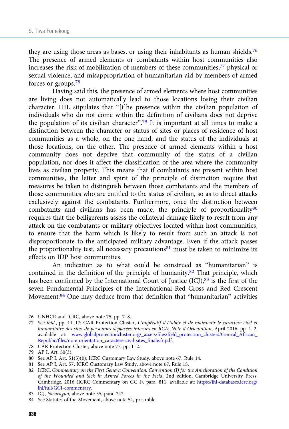they are using those areas as bases, or using their inhabitants as human shields.<sup>76</sup> The presence of armed elements or combatants within host communities also increases the risk of mobilization of members of these communities,<sup>77</sup> physical or sexual violence, and misappropriation of humanitarian aid by members of armed forces or groups.78

Having said this, the presence of armed elements where host communities are living does not automatically lead to those locations losing their civilian character. IHL stipulates that "[t]he presence within the civilian population of individuals who do not come within the definition of civilians does not deprive the population of its civilian character".<sup>79</sup> It is important at all times to make a distinction between the character or status of sites or places of residence of host communities as a whole, on the one hand, and the status of the individuals at those locations, on the other. The presence of armed elements within a host community does not deprive that community of the status of a civilian population, nor does it affect the classification of the area where the community lives as civilian property. This means that if combatants are present within host communities, the letter and spirit of the principle of distinction require that measures be taken to distinguish between those combatants and the members of those communities who are entitled to the status of civilian, so as to direct attacks exclusively against the combatants. Furthermore, once the distinction between combatants and civilians has been made, the principle of proportionality<sup>80</sup> requires that the belligerents assess the collateral damage likely to result from any attack on the combatants or military objectives located within host communities, to ensure that the harm which is likely to result from such an attack is not disproportionate to the anticipated military advantage. Even if the attack passes the proportionality test, all necessary precautions $81$  must be taken to minimize its effects on IDP host communities.

An indication as to what could be construed as "humanitarian" is contained in the definition of the principle of humanity.82 That principle, which has been confirmed by the International Court of Justice  $(ICI)$ ,<sup>83</sup> is the first of the seven Fundamental Principles of the International Red Cross and Red Crescent Movement.<sup>84</sup> One may deduce from that definition that "humanitarian" activities

81 See AP I, Art. 57; ICRC Customary Law Study, above note 67, Rule 15.

82 ICRC, Commentary on the First Geneva Convention: Convention (I) for the Amelioration of the Condition of the Wounded and Sick in Armed Forces in the Field, 2nd edition, Cambridge University Press, Cambridge, 2016 (ICRC Commentary on GC I), para. 811, available at: [https://ihl-databases.icrc.org/](https://ihl-databases.icrc.org/ihl/full/GCI-commentary) [ihl/full/GCI-commentary](https://ihl-databases.icrc.org/ihl/full/GCI-commentary).

<sup>76</sup> UNHCR and ICRC, above note 75, pp. 7–8.

<sup>77</sup> See ibid., pp. 11–17; CAR Protection Cluster, L'impératif d'établir et de maintenir le caractère civil et humanitaire des sites de personnes déplacées internes en RCA: Note d'Orientation, April 2016, pp. 1–2, available at: [www.globalprotectioncluster.org/\\_assets/files/field\\_protection\\_clusters/Central\\_African\\_](https://www.globalprotectioncluster.org/_assets/files/field_protection_clusters/Central_African_Republic/files/note-orientation_caractere-civil-sites_finale.fr.pdf) [Republic/files/note-orientation\\_caractere-civil-sites\\_finale.fr.pdf](https://www.globalprotectioncluster.org/_assets/files/field_protection_clusters/Central_African_Republic/files/note-orientation_caractere-civil-sites_finale.fr.pdf).

<sup>78</sup> CAR Protection Cluster, above note 77, pp. 1–2.

<sup>79</sup> AP I, Art. 50(3).

<sup>80</sup> See AP I, Art. 51(5)(b); ICRC Customary Law Study, above note 67, Rule 14.

<sup>83</sup> ICJ, Nicaragua, above note 55, para. 242.

<sup>84</sup> See Statutes of the Movement, above note 54, preamble.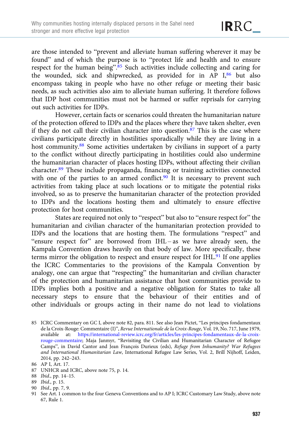are those intended to "prevent and alleviate human suffering wherever it may be found" and of which the purpose is to "protect life and health and to ensure respect for the human being".<sup>85</sup> Such activities include collecting and caring for the wounded, sick and shipwrecked, as provided for in AP I,<sup>86</sup> but also encompass taking in people who have no other refuge or meeting their basic needs, as such activities also aim to alleviate human suffering. It therefore follows that IDP host communities must not be harmed or suffer reprisals for carrying out such activities for IDPs.

However, certain facts or scenarios could threaten the humanitarian nature of the protection offered to IDPs and the places where they have taken shelter, even if they do not call their civilian character into question. $87$  This is the case where civilians participate directly in hostilities sporadically while they are living in a host community.<sup>88</sup> Some activities undertaken by civilians in support of a party to the conflict without directly participating in hostilities could also undermine the humanitarian character of places hosting IDPs, without affecting their civilian character.89 These include propaganda, financing or training activities connected with one of the parties to an armed conflict. $90$  It is necessary to prevent such activities from taking place at such locations or to mitigate the potential risks involved, so as to preserve the humanitarian character of the protection provided to IDPs and the locations hosting them and ultimately to ensure effective protection for host communities.

States are required not only to "respect" but also to "ensure respect for" the humanitarian and civilian character of the humanitarian protection provided to IDPs and the locations that are hosting them. The formulations "respect" and "ensure respect for" are borrowed from IHL – as we have already seen, the Kampala Convention draws heavily on that body of law. More specifically, these terms mirror the obligation to respect and ensure respect for IHL.<sup>91</sup> If one applies the ICRC Commentaries to the provisions of the Kampala Convention by analogy, one can argue that "respecting" the humanitarian and civilian character of the protection and humanitarian assistance that host communities provide to IDPs implies both a positive and a negative obligation for States to take all necessary steps to ensure that the behaviour of their entities and of other individuals or groups acting in their name do not lead to violations

<sup>85</sup> ICRC Commentary on GC I, above note 82, para. 811. See also Jean Pictet, "Les principes fondamentaux de la Croix-Rouge: Commentaire (I)", Revue Internationale de la Croix-Rouge, Vol. 19, No. 717, June 1979, available at: [https://international-review.icrc.org/fr/articles/les-principes-fondamentaux-de-la-croix](https://international-review.icrc.org/fr/articles/les-principes-fondamentaux-de-la-croix-rouge-commentaire)[rouge-commentaire;](https://international-review.icrc.org/fr/articles/les-principes-fondamentaux-de-la-croix-rouge-commentaire) Maja Janmyr, "Revisiting the Civilian and Humanitarian Character of Refugee Camps", in David Cantor and Jean François Durieux (eds), Refuge from Inhumanity? War Refugees and International Humanitarian Law, International Refugee Law Series, Vol. 2, Brill Nijhoff, Leiden, 2014, pp. 242–243.

<sup>86</sup> AP I, Art. 17.

<sup>87</sup> UNHCR and ICRC, above note 75, p. 14.

<sup>88</sup> Ibid., pp. 14–15.

<sup>89</sup> Ibid., p. 15.

<sup>90</sup> Ibid., pp. 7, 9.

<sup>91</sup> See Art. 1 common to the four Geneva Conventions and to AP I; ICRC Customary Law Study, above note 67, Rule 1.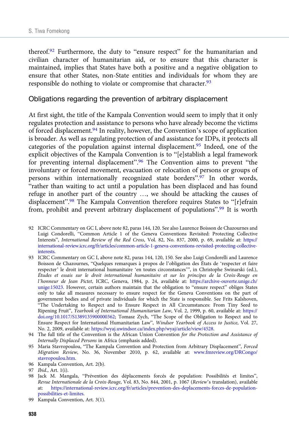thereof.<sup>92</sup> Furthermore, the duty to "ensure respect" for the humanitarian and civilian character of humanitarian aid, or to ensure that this character is maintained, implies that States have both a positive and a negative obligation to ensure that other States, non-State entities and individuals for whom they are responsible do nothing to violate or compromise that character.<sup>93</sup>

#### Obligations regarding the prevention of arbitrary displacement

At first sight, the title of the Kampala Convention would seem to imply that it only regulates protection and assistance to persons who have already become the victims of forced displacement.94 In reality, however, the Convention's scope of application is broader. As well as regulating protection of and assistance for IDPs, it protects all categories of the population against internal displacement.<sup>95</sup> Indeed, one of the explicit objectives of the Kampala Convention is to "[e]stablish a legal framework for preventing internal displacement".<sup>96</sup> The Convention aims to prevent "the involuntary or forced movement, evacuation or relocation of persons or groups of persons within internationally recognized state borders".<sup>97</sup> In other words, "rather than waiting to act until a population has been displaced and has found refuge in another part of the country …, we should be attacking the causes of displacement".<sup>98</sup> The Kampala Convention therefore requires States to "[r]efrain from, prohibit and prevent arbitrary displacement of populations".<sup>99</sup> It is worth

- 92 ICRC Commentary on GC I, above note 82, paras 144, 120. See also Laurence Boisson de Chazournes and Luigi Condorelli, "Common Article 1 of the Geneva Conventions Revisited: Protecting Collective Interests", International Review of the Red Cross, Vol. 82, No. 837, 2000, p. 69, available at: [https://](https://international-review.icrc.org/fr/articles/common-article-1-geneva-conventions-revisited-protecting-collective-interests) [international-review.icrc.org/fr/articles/common-article-1-geneva-conventions-revisited-protecting-collective](https://international-review.icrc.org/fr/articles/common-article-1-geneva-conventions-revisited-protecting-collective-interests)[interests.](https://international-review.icrc.org/fr/articles/common-article-1-geneva-conventions-revisited-protecting-collective-interests)
- 93 ICRC Commentary on GC I, above note 82, paras 144, 120, 150. See also Luigi Condorelli and Laurence Boisson de Chazournes, "Quelques remarques à propos de l'obligation des États de 'respecter et faire respecter' le droit international humanitaire 'en toutes circonstances'", in Christophe Swinarski (ed.), Études et essais sur le droit international humanitaire et sur les principes de la Croix-Rouge en l'honneur de Jean Pictet, ICRC, Geneva, 1984, p. 24, available at: [https://archive-ouverte.unige.ch/](https://archive-ouverte.unige.ch/unige:15023) [unige:15023.](https://archive-ouverte.unige.ch/unige:15023) However, certain authors maintain that the obligation to "ensure respect" obliges States only to take all measures necessary to ensure respect for the Geneva Conventions on the part of government bodies and of private individuals for which the State is responsible. See Frits Kalshoven, "The Undertaking to Respect and to Ensure Respect in All Circumstances: From Tiny Seed to Ripening Fruit", Yearbook of International Humanitarian Law, Vol. 2, 1999, p. 60, available at: [https://](https://doi.org/10.1017/S1389135900000362) [doi.org/10.1017/S1389135900000362;](https://doi.org/10.1017/S1389135900000362) Tomasz Zych, "The Scope of the Obligation to Respect and to Ensure Respect for International Humanitarian Law", Windsor Yearbook of Access to Justice, Vol. 27, No. 2, 2009, available at: <https://wyaj.uwindsor.ca/index.php/wyaj/article/view/4528>.
- 94 The full title of the Convention is the African Union Convention for the Protection and Assistance of Internally Displaced Persons in Africa (emphasis added).
- 95 Maria Stavropoulou, "The Kampala Convention and Protection from Arbitrary Displacement", Forced Migration Review, No. 36, November 2010, p. 62, available at: [www.fmreview.org/DRCongo/](https://www.fmreview.org/DRCongo/stavropoulou.htm) [stavropoulou.htm](https://www.fmreview.org/DRCongo/stavropoulou.htm).
- 96 Kampala Convention, Art. 2(b).

98 Jack M. Mangala, "Prévention des déplacements forcés de population: Possibilités et limites", Revue Internationale de la Croix-Rouge, Vol. 83, No. 844, 2001, p. 1067 (Review's translation), available at: [https://international-review.icrc.org/fr/articles/prevention-des-deplacements-forces-de-population](https://international-review.icrc.org/fr/articles/prevention-des-deplacements-forces-de-population-possibilities-et-limites)[possibilities-et-limites.](https://international-review.icrc.org/fr/articles/prevention-des-deplacements-forces-de-population-possibilities-et-limites)

<sup>97</sup> Ibid., Art. 1(i).

<sup>99</sup> Kampala Convention, Art. 3(1).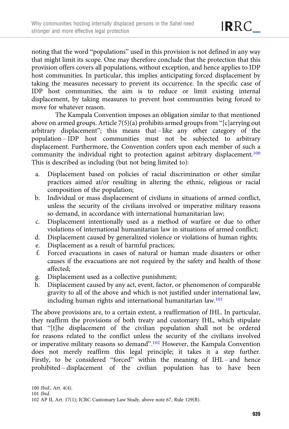noting that the word "populations" used in this provision is not defined in any way that might limit its scope. One may therefore conclude that the protection that this provision offers covers all populations, without exception, and hence applies to IDP host communities. In particular, this implies anticipating forced displacement by taking the measures necessary to prevent its occurrence. In the specific case of IDP host communities, the aim is to reduce or limit existing internal displacement, by taking measures to prevent host communities being forced to move for whatever reason.

The Kampala Convention imposes an obligation similar to that mentioned above on armed groups. Article  $7(5)(a)$  prohibits armed groups from "[c]arrying out arbitrary displacement"; this means that – like any other category of the population – IDP host communities must not be subjected to arbitrary displacement. Furthermore, the Convention confers upon each member of such a community the individual right to protection against arbitrary displacement.<sup>100</sup> This is described as including (but not being limited to):

- a. Displacement based on policies of racial discrimination or other similar practices aimed at/or resulting in altering the ethnic, religious or racial composition of the population;
- b. Individual or mass displacement of civilians in situations of armed conflict, unless the security of the civilians involved or imperative military reasons so demand, in accordance with international humanitarian law;
- c. Displacement intentionally used as a method of warfare or due to other violations of international humanitarian law in situations of armed conflict;
- d. Displacement caused by generalized violence or violations of human rights;
- e. Displacement as a result of harmful practices;
- f. Forced evacuations in cases of natural or human made disasters or other causes if the evacuations are not required by the safety and health of those affected;
- g. Displacement used as a collective punishment;
- h. Displacement caused by any act, event, factor, or phenomenon of comparable gravity to all of the above and which is not justified under international law, including human rights and international humanitarian law.<sup>101</sup>

The above provisions are, to a certain extent, a reaffirmation of IHL. In particular, they reaffirm the provisions of both treaty and customary IHL, which stipulate that "[t]he displacement of the civilian population shall not be ordered for reasons related to the conflict unless the security of the civilians involved or imperative military reasons so demand".<sup>102</sup> However, the Kampala Convention does not merely reaffirm this legal principle; it takes it a step further. Firstly, to be considered "forced" within the meaning of IHL – and hence prohibited – displacement of the civilian population has to have been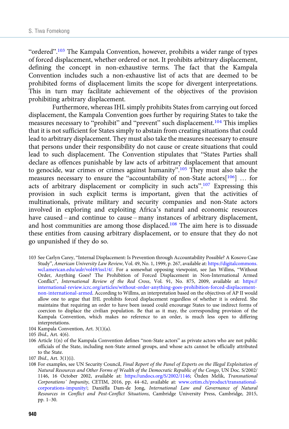"ordered".<sup>103</sup> The Kampala Convention, however, prohibits a wider range of types of forced displacement, whether ordered or not. It prohibits arbitrary displacement, defining the concept in non-exhaustive terms. The fact that the Kampala Convention includes such a non-exhaustive list of acts that are deemed to be prohibited forms of displacement limits the scope for divergent interpretations. This in turn may facilitate achievement of the objectives of the provision prohibiting arbitrary displacement.

Furthermore, whereas IHL simply prohibits States from carrying out forced displacement, the Kampala Convention goes further by requiring States to take the measures necessary to "prohibit" and "prevent" such displacement.<sup>104</sup> This implies that it is not sufficient for States simply to abstain from creating situations that could lead to arbitrary displacement. They must also take the measures necessary to ensure that persons under their responsibility do not cause or create situations that could lead to such displacement. The Convention stipulates that "States Parties shall declare as offences punishable by law acts of arbitrary displacement that amount to genocide, war crimes or crimes against humanity".<sup>105</sup> They must also take the measures necessary to ensure the "accountability of non-State actors[106] … for acts of arbitrary displacement or complicity in such acts".<sup>107</sup> Expressing this provision in such explicit terms is important, given that the activities of multinationals, private military and security companies and non-State actors involved in exploring and exploiting Africa's natural and economic resources have caused – and continue to cause – many instances of arbitrary displacement, and host communities are among those displaced.108 The aim here is to dissuade these entities from causing arbitrary displacement, or to ensure that they do not go unpunished if they do so.

- 104 Kampala Convention, Art. 3(1)(a).
- 105 Ibid., Art. 4(6).
- 106 Article 1(n) of the Kampala Convention defines "non-State actors" as private actors who are not public officials of the State, including non-State armed groups, and whose acts cannot be officially attributed to the State.
- 107 Ibid., Art. 3(1)(i).

108 For examples, see UN Security Council, Final Report of the Panel of Experts on the Illegal Exploitation of Natural Resources and Other Forms of Wealth of the Democratic Republic of the Congo, UN Doc. S/2002/ 1146, 16 October 2002, available at: [https://undocs.org/S/2002/1146;](https://undocs.org/S/2002/1146) Özden Melik, Transnational Corporations' Impunity, CETIM, 2016, pp. 44–62, available at: [www.cetim.ch/product/transnational](https://www.cetim.ch/product/transnational-corporations-impunity/)[corporations-impunity/;](https://www.cetim.ch/product/transnational-corporations-impunity/) Daniëlla Dam-de Jong, International Law and Governance of Natural Resources in Conflict and Post-Conflict Situations, Cambridge University Press, Cambridge, 2015, pp. 1–30.

<sup>103</sup> See Carlyn Carey, "Internal Displacement: Is Prevention through Accountability Possible? A Kosovo Case Study", American University Law Review, Vol. 49, No. 1, 1999, p. 267, available at: [https://digitalcommons.](https://digitalcommons.wcl.american.edu/aulr/vol49/iss1/4/) [wcl.american.edu/aulr/vol49/iss1/4/.](https://digitalcommons.wcl.american.edu/aulr/vol49/iss1/4/) For a somewhat opposing viewpoint, see Jan Willms, "Without Order, Anything Goes? The Prohibition of Forced Displacement in Non-International Armed Conflict", International Review of the Red Cross, Vol. 91, No. 875, 2009, available at: [https://](https://international-review.icrc.org/articles/without-order-anything-goes-prohibition-forced-displacement-non-international-armed) [international-review.icrc.org/articles/without-order-anything-goes-prohibition-forced-displacement](https://international-review.icrc.org/articles/without-order-anything-goes-prohibition-forced-displacement-non-international-armed)[non-international-armed](https://international-review.icrc.org/articles/without-order-anything-goes-prohibition-forced-displacement-non-international-armed). According to Willms, an interpretation based on the objectives of AP II would allow one to argue that IHL prohibits forced displacement regardless of whether it is ordered. She maintains that requiring an order to have been issued could encourage States to use indirect forms of coercion to displace the civilian population. Be that as it may, the corresponding provision of the Kampala Convention, which makes no reference to an order, is much less open to differing interpretations.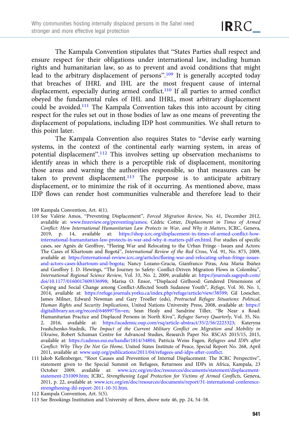The Kampala Convention stipulates that "States Parties shall respect and ensure respect for their obligations under international law, including human rights and humanitarian law, so as to prevent and avoid conditions that might lead to the arbitrary displacement of persons".<sup>109</sup> It is generally accepted today that breaches of IHRL and IHL are the most frequent cause of internal displacement, especially during armed conflict.<sup>110</sup> If all parties to armed conflict obeyed the fundamental rules of IHL and IHRL, most arbitrary displacement could be avoided.111 The Kampala Convention takes this into account by citing respect for the rules set out in those bodies of law as one means of preventing the displacement of populations, including IDP host communities. We shall return to this point later.

The Kampala Convention also requires States to "devise early warning systems, in the context of the continental early warning system, in areas of potential displacement".<sup>112</sup> This involves setting up observation mechanisms to identify areas in which there is a perceptible risk of displacement, monitoring those areas and warning the authorities responsible, so that measures can be taken to prevent displacement.<sup>113</sup> The purpose is to anticipate arbitrary displacement, or to minimize the risk of it occurring. As mentioned above, mass IDP flows can render host communities vulnerable and therefore lead to their

112 Kampala Convention, Art. 5(5).

<sup>109</sup> Kampala Convention, Art. 4(1).

<sup>110</sup> See Valérie Amos, "Preventing Displacement", Forced Migration Review, No. 41, December 2012, available at: [www.fmreview.org/preventing/amos;](https://www.fmreview.org/preventing/amos) Cédric Cotter, Displacement in Times of Armed Conflict: How International Humanitarian Law Protects in War, and Why it Matters, ICRC, Geneva, 2019, p. 14, available at: [https://shop.icrc.org/displacement-in-times-of-armed-conflict-how](https://shop.icrc.org/displacement-in-times-of-armed-conflict-how-international-humanitarian-law-protects-in-war-and-why-it-matters-pdf-en.html)[international-humanitarian-law-protects-in-war-and-why-it-matters-pdf-en.html.](https://shop.icrc.org/displacement-in-times-of-armed-conflict-how-international-humanitarian-law-protects-in-war-and-why-it-matters-pdf-en.html) For studies of specific cases, see Agnès de Geoffroy, "Fleeing War and Relocating to the Urban Fringe – Issues and Actors: The Cases of Khartoum and Bogotá", International Review of the Red Cross, Vol. 91, No. 875, 2009, available at: [https://international-review.icrc.org/articles/fleeing-war-and-relocating-urban-fringe-issues](https://international-review.icrc.org/articles/fleeing-war-and-relocating-urban-fringe-issues-and-actors-cases-khartoum-and-bogota)[and-actors-cases-khartoum-and-bogota;](https://international-review.icrc.org/articles/fleeing-war-and-relocating-urban-fringe-issues-and-actors-cases-khartoum-and-bogota) Nancy Lozano-Gracia, Gianfranco Piras, Ana Maria Ibáñez and Geoffrey J. D. Hewings, "The Journey to Safety: Conflict-Driven Migration Flows in Colombia", International Regional Science Review, Vol. 33, No. 2, 2009, available at: [https://journals.sagepub.com/](https://journals.sagepub.com/doi/10.1177/0160017609336998) [doi/10.1177/0160017609336998](https://journals.sagepub.com/doi/10.1177/0160017609336998); Marisa O. Ensor, "Displaced Girlhood: Gendered Dimensions of Coping and Social Change among Conflict-Affected South Sudanese Youth", Refuge, Vol. 30, No. 1, 2014, available at: [https://refuge.journals.yorku.ca/index.php/refuge/article/view/38599;](https://refuge.journals.yorku.ca/index.php/refuge/article/view/38599) Gil Loescher, James Milner, Edward Newman and Gary Troeller (eds), Protracted Refugee Situations: Political, Human Rights and Security Implications, United Nations University Press, 2008, available at: [https://](https://digitallibrary.un.org/record/646997?ln=en) [digitallibrary.un.org/record/646997?ln=en](https://digitallibrary.un.org/record/646997?ln=en); Sean Healy and Sandrine Tiller, "Be Near a Road: Humanitarian Practice and Displaced Persons in North Kivu", Refugee Survey Quarterly, Vol. 35, No. 2, 2016, available at: <https://academic.oup.com/rsq/article-abstract/35/2/56/2223323>; Kateryna Ivashchenko-Stadnik, The Impact of the Current Military Conflict on Migration and Mobility in Ukraine, Robert Schuman Centre for Advanced Studies, Research Paper No. RSCAS 2015/15, 2015, available at: <https://cadmus.eui.eu/handle/1814/34804>; Patricia Weiss Fagen, Refugees and IDPs after Conflict: Why They Do Not Go Home, United States Institute of Peace, Special Report No. 268, April 2011, available at: [www.usip.org/publications/2011/04/refugees-and-idps-after-conflict.](https://www.usip.org/publications/2011/04/refugees-and-idps-after-conflict)

<sup>111</sup> Jakob Kellenberger, "Root Causes and Prevention of Internal Displacement: The ICRC Perspective", statement given to the Special Summit on Refugees, Returnees and IDPs in Africa, Kampala, 23 October 2009, available at: [www.icrc.org/en/doc/resources/documents/statement/displacement](https://www.icrc.org/en/doc/resources/documents/statement/displacement-statement-231009.htm)[statement-231009.htm;](https://www.icrc.org/en/doc/resources/documents/statement/displacement-statement-231009.htm) ICRC, Strengthening Legal Protection for Victims of Armed Conflicts, Geneva, 2011, p. 22, available at: [www.icrc.org/en/doc/resources/documents/report/31-international-conference](https://www.icrc.org/en/doc/resources/documents/report/31-international-conference-strengthening-ihl-report-2011-10-31.htm)[strengthening-ihl-report-2011-10-31.htm](https://www.icrc.org/en/doc/resources/documents/report/31-international-conference-strengthening-ihl-report-2011-10-31.htm).

<sup>113</sup> See Brookings Institution and University of Bern, above note 46, pp. 24, 54–58.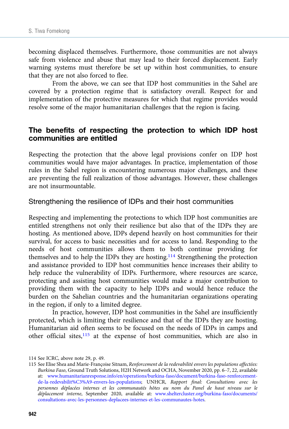becoming displaced themselves. Furthermore, those communities are not always safe from violence and abuse that may lead to their forced displacement. Early warning systems must therefore be set up within host communities, to ensure that they are not also forced to flee.

From the above, we can see that IDP host communities in the Sahel are covered by a protection regime that is satisfactory overall. Respect for and implementation of the protective measures for which that regime provides would resolve some of the major humanitarian challenges that the region is facing.

# The benefits of respecting the protection to which IDP host communities are entitled

Respecting the protection that the above legal provisions confer on IDP host communities would have major advantages. In practice, implementation of those rules in the Sahel region is encountering numerous major challenges, and these are preventing the full realization of those advantages. However, these challenges are not insurmountable.

#### Strengthening the resilience of IDPs and their host communities

Respecting and implementing the protections to which IDP host communities are entitled strengthens not only their resilience but also that of the IDPs they are hosting. As mentioned above, IDPs depend heavily on host communities for their survival, for access to basic necessities and for access to land. Responding to the needs of host communities allows them to both continue providing for themselves and to help the IDPs they are hosting.114 Strengthening the protection and assistance provided to IDP host communities hence increases their ability to help reduce the vulnerability of IDPs. Furthermore, where resources are scarce, protecting and assisting host communities would make a major contribution to providing them with the capacity to help IDPs and would hence reduce the burden on the Sahelian countries and the humanitarian organizations operating in the region, if only to a limited degree.

In practice, however, IDP host communities in the Sahel are insufficiently protected, which is limiting their resilience and that of the IDPs they are hosting. Humanitarian aid often seems to be focused on the needs of IDPs in camps and other official sites,<sup>115</sup> at the expense of host communities, which are also in

<sup>114</sup> See ICRC, above note 29, p. 49.

<sup>115</sup> See Elise Shea and Marie-Françoise Sitnam, Renforcement de la redevabilité envers les populations affectées: Burkina Faso, Ground Truth Solutions, H2H Network and OCHA, November 2020, pp. 6–7, 22, available at: [www.humanitarianresponse.info/en/operations/burkina-faso/document/burkina-faso-renforcement](https://www.humanitarianresponse.info/en/operations/burkina-faso/document/burkina-faso-renforcement-de-la-redevabilit%C3%A9-envers-les-populations)[de-la-redevabilit%C3%A9-envers-les-populations;](https://www.humanitarianresponse.info/en/operations/burkina-faso/document/burkina-faso-renforcement-de-la-redevabilit%C3%A9-envers-les-populations) UNHCR, Rapport final: Consultations avec les personnes déplacées internes et les communautés hôtes au nom du Panel de haut niveau sur le déplacement interne, September 2020, available at: [www.sheltercluster.org/burkina-faso/documents/](https://www.sheltercluster.org/burkina-faso/documents/consultations-avec-les-personnes-deplacees-internes-et-les-communautes-hotes) [consultations-avec-les-personnes-deplacees-internes-et-les-communautes-hotes.](https://www.sheltercluster.org/burkina-faso/documents/consultations-avec-les-personnes-deplacees-internes-et-les-communautes-hotes)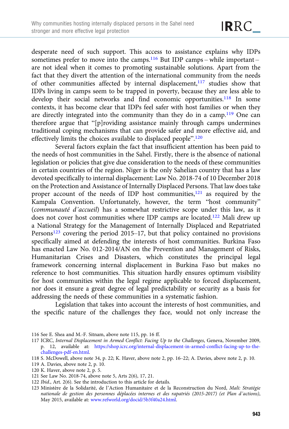desperate need of such support. This access to assistance explains why IDPs sometimes prefer to move into the camps.<sup>116</sup> But IDP camps – while important – are not ideal when it comes to promoting sustainable solutions. Apart from the fact that they divert the attention of the international community from the needs of other communities affected by internal displacement, $117$  studies show that IDPs living in camps seem to be trapped in poverty, because they are less able to develop their social networks and find economic opportunities.<sup>118</sup> In some contexts, it has become clear that IDPs feel safer with host families or when they are directly integrated into the community than they do in a camp.<sup>119</sup> One can therefore argue that "[p]roviding assistance mainly through camps undermines traditional coping mechanisms that can provide safer and more effective aid, and effectively limits the choices available to displaced people".<sup>120</sup>

Several factors explain the fact that insufficient attention has been paid to the needs of host communities in the Sahel. Firstly, there is the absence of national legislation or policies that give due consideration to the needs of these communities in certain countries of the region. Niger is the only Sahelian country that has a law devoted specifically to internal displacement: Law No. 2018-74 of 10 December 2018 on the Protection and Assistance of Internally Displaced Persons. That law does take proper account of the needs of IDP host communities,<sup>121</sup> as required by the Kampala Convention. Unfortunately, however, the term "host community" (communauté d'accueil) has a somewhat restrictive scope under this law, as it does not cover host communities where IDP camps are located.<sup>122</sup> Mali drew up a National Strategy for the Management of Internally Displaced and Repatriated Persons<sup>123</sup> covering the period 2015–17, but that policy contained no provisions specifically aimed at defending the interests of host communities. Burkina Faso has enacted Law No. 012-2014/AN on the Prevention and Management of Risks, Humanitarian Crises and Disasters, which constitutes the principal legal framework concerning internal displacement in Burkina Faso but makes no reference to host communities. This situation hardly ensures optimum visibility for host communities within the legal regime applicable to forced displacement, nor does it ensure a great degree of legal predictability or security as a basis for addressing the needs of these communities in a systematic fashion.

Legislation that takes into account the interests of host communities, and the specific nature of the challenges they face, would not only increase the

- 119 A. Davies, above note 2, p. 10.
- 120 K. Haver, above note 2, p. 5.
- 121 See Law No. 2018-74, above note 5, Arts 2(6), 17, 21.
- 122 Ibid., Art. 2(6). See the introduction to this article for details.
- 123 Ministère de la Solidarité, de l'Action Humanitaire et de la Reconstruction du Nord, Mali: Stratégie nationale de gestion des personnes déplacées internes et des rapatriés (2015-2017) (et Plan d'actions), May 2015, available at: [www.refworld.org/docid/5b3f40a24.html.](https://www.refworld.org/docid/5b3f40a24.html)

<sup>116</sup> See E. Shea and M.-F. Sitnam, above note 115, pp. 16 ff.

<sup>117</sup> ICRC, Internal Displacement in Armed Conflict: Facing Up to the Challenges, Geneva, November 2009, p. 12, available at: [https://shop.icrc.org/internal-displacement-in-armed-conflict-facing-up-to-the](https://shop.icrc.org/internal-displacement-in-armed-conflict-facing-up-to-the-challenges-pdf-en.html)[challenges-pdf-en.html](https://shop.icrc.org/internal-displacement-in-armed-conflict-facing-up-to-the-challenges-pdf-en.html).

<sup>118</sup> S. McDowell, above note 34, p. 22; K. Haver, above note 2, pp. 16–22; A. Davies, above note 2, p. 10.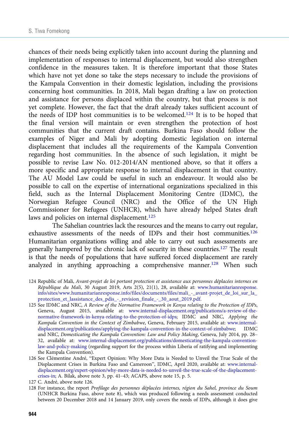chances of their needs being explicitly taken into account during the planning and implementation of responses to internal displacement, but would also strengthen confidence in the measures taken. It is therefore important that those States which have not yet done so take the steps necessary to include the provisions of the Kampala Convention in their domestic legislation, including the provisions concerning host communities. In 2018, Mali began drafting a law on protection and assistance for persons displaced within the country, but that process is not yet complete. However, the fact that the draft already takes sufficient account of the needs of IDP host communities is to be welcomed.124 It is to be hoped that the final version will maintain or even strengthen the protection of host communities that the current draft contains. Burkina Faso should follow the examples of Niger and Mali by adopting domestic legislation on internal displacement that includes all the requirements of the Kampala Convention regarding host communities. In the absence of such legislation, it might be possible to revise Law No. 012-2014/AN mentioned above, so that it offers a more specific and appropriate response to internal displacement in that country. The AU Model Law could be useful in such an endeavour. It would also be possible to call on the expertise of international organizations specialized in this field, such as the Internal Displacement Monitoring Centre (IDMC), the Norwegian Refugee Council (NRC) and the Office of the UN High Commissioner for Refugees (UNHCR), which have already helped States draft laws and policies on internal displacement.<sup>125</sup>

The Sahelian countries lack the resources and the means to carry out regular, exhaustive assessments of the needs of IDPs and their host communities.126 Humanitarian organizations willing and able to carry out such assessments are generally hampered by the chronic lack of security in these countries.127 The result is that the needs of populations that have suffered forced displacement are rarely analyzed in anything approaching a comprehensive manner.<sup>128</sup> When such

- 124 Republic of Mali, Avant-projet de loi portant protection et assistance aux personnes déplacées internes en République du Mali, 30 August 2019, Arts 2(5), 21(1), 28, available at: [www.humanitarianresponse.](https://www.humanitarianresponse.info/sites/www.humanitarianresponse.info/files/documents/files/mali_-_avant-projet_de_loi_sur_la_protection_et_lassistance_des_pdis_-_revision_finale_-_30_aout_2019.pdf) [info/sites/www.humanitarianresponse.info/files/documents/files/mali\\_-\\_avant-projet\\_de\\_loi\\_sur\\_la\\_](https://www.humanitarianresponse.info/sites/www.humanitarianresponse.info/files/documents/files/mali_-_avant-projet_de_loi_sur_la_protection_et_lassistance_des_pdis_-_revision_finale_-_30_aout_2019.pdf) [protection\\_et\\_lassistance\\_des\\_pdis\\_-\\_revision\\_finale\\_-\\_30\\_aout\\_2019.pdf.](https://www.humanitarianresponse.info/sites/www.humanitarianresponse.info/files/documents/files/mali_-_avant-projet_de_loi_sur_la_protection_et_lassistance_des_pdis_-_revision_finale_-_30_aout_2019.pdf)
- 125 See IDMC and NRC, A Review of the Normative Framework in Kenya relating to the Protection of IDPs, Geneva, August 2015, available at: [www.internal-displacement.org/publications/a-review-of-the](https://www.internal-displacement.org/publications/a-review-of-the-normative-framework-in-kenya-relating-to-the-protection-of-idps)[normative-framework-in-kenya-relating-to-the-protection-of-idps](https://www.internal-displacement.org/publications/a-review-of-the-normative-framework-in-kenya-relating-to-the-protection-of-idps); IDMC and NRC, Applying the Kampala Convention in the Context of Zimbabwe, Geneva, February 2015, available at: [www.internal](https://www.internal-displacement.org/publications/applying-the-kampala-convention-in-the-context-of-zimbabwe)[displacement.org/publications/applying-the-kampala-convention-in-the-context-of-zimbabwe;](https://www.internal-displacement.org/publications/applying-the-kampala-convention-in-the-context-of-zimbabwe) IDMC and NRC, Domesticating the Kampala Convention: Law and Policy Making, Geneva, July 2014, pp. 28– 32, available at: [www.internal-displacement.org/publications/domesticating-the-kampala-convention](https://www.internal-displacement.org/publications/domesticating-the-kampala-convention-law-and-policy-making)[law-and-policy-making](https://www.internal-displacement.org/publications/domesticating-the-kampala-convention-law-and-policy-making) (regarding support for the process within Liberia of ratifying and implementing the Kampala Convention).
- 126 See Clémentine André, "Expert Opinion: Why More Data is Needed to Unveil the True Scale of the Displacement Crises in Burkina Faso and Cameroon", IDMC, April 2020, available at: [www.internal](https://www.internal-displacement.org/expert-opinion/why-more-data-is-needed-to-unveil-the-true-scale-of-the-displacement-crises-in)[displacement.org/expert-opinion/why-more-data-is-needed-to-unveil-the-true-scale-of-the-displacement](https://www.internal-displacement.org/expert-opinion/why-more-data-is-needed-to-unveil-the-true-scale-of-the-displacement-crises-in)[crises-in;](https://www.internal-displacement.org/expert-opinion/why-more-data-is-needed-to-unveil-the-true-scale-of-the-displacement-crises-in) A. Bilak, above note 3, pp. 41–43; ACAPS, above note 15, p. 5.
- 127 C. André, above note 126.
- 128 For instance, the report Profilage des personnes déplacées internes, région du Sahel, province du Soum (UNHCR Burkina Faso, above note 8), which was produced following a needs assessment conducted between 20 December 2018 and 14 January 2019, only covers the needs of IDPs, although it does give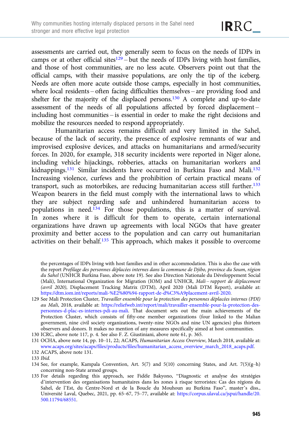assessments are carried out, they generally seem to focus on the needs of IDPs in camps or at other official sites<sup>129</sup> – but the needs of IDPs living with host families, and those of host communities, are no less acute. Observers point out that the official camps, with their massive populations, are only the tip of the iceberg. Needs are often more acute outside those camps, especially in host communities, where local residents – often facing difficulties themselves – are providing food and shelter for the majority of the displaced persons.<sup>130</sup> A complete and up-to-date assessment of the needs of all populations affected by forced displacement – including host communities – is essential in order to make the right decisions and mobilize the resources needed to respond appropriately.

Humanitarian access remains difficult and very limited in the Sahel, because of the lack of security, the presence of explosive remnants of war and improvised explosive devices, and attacks on humanitarians and armed/security forces. In 2020, for example, 318 security incidents were reported in Niger alone, including vehicle hijackings, robberies, attacks on humanitarian workers and kidnappings.<sup>131</sup> Similar incidents have occurred in Burkina Faso and Mali.<sup>132</sup> Increasing violence, curfews and the prohibition of certain practical means of transport, such as motorbikes, are reducing humanitarian access still further.133 Weapon bearers in the field must comply with the international laws to which they are subject regarding safe and unhindered humanitarian access to populations in need.134 For those populations, this is a matter of survival. In zones where it is difficult for them to operate, certain international organizations have drawn up agreements with local NGOs that have greater proximity and better access to the population and can carry out humanitarian activities on their behalf.135 This approach, which makes it possible to overcome

130 ICRC, above note 117, p. 4. See also F. Z. Giustiniani, above note 61, p. 365.

the percentages of IDPs living with host families and in other accommodation. This is also the case with the report Profilage des personnes déplacées internes dans la commune de Djibo, province du Soum, région du Sahel (UNHCR Burkina Faso, above note 19). See also Direction Nationale du Développement Social (Mali), International Organization for Migration (IOM) and UNHCR, Mali-rapport de déplacement (avril 2020), Displacement Tracking Matrix (DTM), April 2020 (Mali DTM Report), available at: <https://dtm.iom.int/reports/mali-%E2%80%94-rapport-de-d%C3%A9placement-avril-2020>.

<sup>129</sup> See Mali Protection Cluster, Travailler ensemble pour la protection des personnes déplacées internes (PDI) au Mali, 2018, available at: [https://reliefweb.int/report/mali/travailler-ensemble-pour-la-protection-des](https://reliefweb.int/report/mali/travailler-ensemble-pour-la-protection-des-personnes-d-plac-es-internes-pdi-au-mali)[personnes-d-plac-es-internes-pdi-au-mali.](https://reliefweb.int/report/mali/travailler-ensemble-pour-la-protection-des-personnes-d-plac-es-internes-pdi-au-mali) That document sets out the main achievements of the Protection Cluster, which consists of fifty-one member organizations (four linked to the Malian government, nine civil society organizations, twenty-nine NGOs and nine UN agencies) plus thirteen observers and donors. It makes no mention of any measures specifically aimed at host communities.

<sup>131</sup> OCHA, above note 14, pp. 10–11, 22; ACAPS, Humanitarian Access Overview, March 2018, available at: [www.acaps.org/sites/acaps/files/products/files/humanitarian\\_access\\_overview\\_march\\_2018\\_acaps.pdf.](https://www.acaps.org/sites/acaps/files/products/files/humanitarian_access_overview_march_2018_acaps.pdf)

<sup>132</sup> ACAPS, above note 131.

<sup>133</sup> Ibid.

<sup>134</sup> See, for example, Kampala Convention, Art. 5(7) and 5(10) concerning States, and Art. 7(5)( $g$ -h) concerning non-State armed groups.

<sup>135</sup> For details regarding this approach, see Fidèle Bakyono, "Diagnostic et analyse des stratégies d'intervention des organisations humanitaires dans les zones à risque terroristes: Cas des régions du Sahel, de l'Est, du Centre-Nord et de la Boucle du Mouhoun au Burkina Faso", master's diss., Université Laval, Quebec, 2021, pp. 65–67, 75–77, available at: [https://corpus.ulaval.ca/jspui/handle/20.](https://corpus.ulaval.ca/jspui/handle/20.500.11794/68551) [500.11794/68551.](https://corpus.ulaval.ca/jspui/handle/20.500.11794/68551)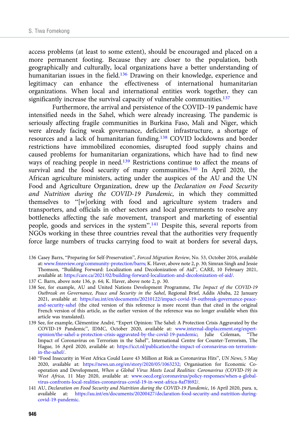access problems (at least to some extent), should be encouraged and placed on a more permanent footing. Because they are closer to the population, both geographically and culturally, local organizations have a better understanding of humanitarian issues in the field.<sup>136</sup> Drawing on their knowledge, experience and legitimacy can enhance the effectiveness of international humanitarian organizations. When local and international entities work together, they can significantly increase the survival capacity of vulnerable communities.<sup>137</sup>

Furthermore, the arrival and persistence of the COVID–19 pandemic have intensified needs in the Sahel, which were already increasing. The pandemic is seriously affecting fragile communities in Burkina Faso, Mali and Niger, which were already facing weak governance, deficient infrastructure, a shortage of resources and a lack of humanitarian funding.138 COVID lockdowns and border restrictions have immobilized economies, disrupted food supply chains and caused problems for humanitarian organizations, which have had to find new ways of reaching people in need.<sup>139</sup> Restrictions continue to affect the means of survival and the food security of many communities.<sup>140</sup> In April 2020, the African agriculture ministers, acting under the auspices of the AU and the UN Food and Agriculture Organization, drew up the Declaration on Food Security and Nutrition during the COVID-19 Pandemic, in which they committed themselves to "[w]orking with food and agriculture system traders and transporters, and officials in other sectors and local governments to resolve any bottlenecks affecting the safe movement, transport and marketing of essential people, goods and services in the system".<sup>141</sup> Despite this, several reports from NGOs working in these three countries reveal that the authorities very frequently force large numbers of trucks carrying food to wait at borders for several days,

- 136 Casey Barrs, "Preparing for Self-Preservation", Forced Migration Review, No. 53, October 2016, available at: [www.fmreview.org/community-protection/barrs](https://www.fmreview.org/community-protection/barrs); K. Haver, above note 2, p. 30; Simran Singh and Jessie Thomson, "Building Forward: Localization and Decolonization of Aid", CARE, 10 February 2021, available at: <https://care.ca/2021/02/building-forward-localization-and-decolonization-of-aid/>.
- 137 C. Barrs, above note 136, p. 64; K. Haver, above note 2, p. 30.
- 138 See, for example, AU and United Nations Development Programme, The Impact of the COVID-19 Outbreak on Governance, Peace and Security in the Sahel, Regional Brief, Addis Ababa, 22 January 2021, available at: [https://au.int/en/documents/20210122/impact-covid-19-outbreak-governance-peace](https://au.int/en/documents/20210122/impact-covid-19-outbreak-governance-peace-and-security-sahel)[and-security-sahel](https://au.int/en/documents/20210122/impact-covid-19-outbreak-governance-peace-and-security-sahel) (the cited version of this reference is more recent than that cited in the original French version of this article, as the earlier version of the reference was no longer available when this article was translated).
- 139 See, for example, Clémentine André, "Expert Opinion: The Sahel: A Protection Crisis Aggravated by the COVID-19 Pandemic", IDMC, October 2020, available at: [www.internal-displacement.org/expert](https://www.internal-displacement.org/expert-opinion/the-sahel-a-protection-crisis-aggravated-by-the-covid-19-pandemic)[opinion/the-sahel-a-protection-crisis-aggravated-by-the-covid-19-pandemic;](https://www.internal-displacement.org/expert-opinion/the-sahel-a-protection-crisis-aggravated-by-the-covid-19-pandemic) Julie Coleman, "The Impact of Coronavirus on Terrorism in the Sahel", International Centre for Counter-Terrorism, The Hague, 16 April 2020, available at: [https://icct.nl/publication/the-impact-of-coronavirus-on-terrorism](https://icct.nl/publication/the-impact-of-coronavirus-on-terrorism-in-the-sahel/)[in-the-sahel/](https://icct.nl/publication/the-impact-of-coronavirus-on-terrorism-in-the-sahel/).
- 140 "Food Insecurity in West Africa Could Leave 43 Million at Risk as Coronavirus Hits", UN News, 5 May 2020, available at: [https://news.un.org/en/story/2020/05/1063232;](https://news.un.org/en/story/2020/05/1063232) Organisation for Economic Cooperation and Development, When a Global Virus Meets Local Realities: Coronavirus (COVID-19) in West Africa, 11 May 2020, available at: [www.oecd.org/coronavirus/policy-responses/when-a-global](http://www.oecd.org/coronavirus/policy-responses/when-a-global-virus-confronts-local-realities-coronavirus-covid-19-in-west-africa-8af7f692/)[virus-confronts-local-realities-coronavirus-covid-19-in-west-africa-8af7f692/.](http://www.oecd.org/coronavirus/policy-responses/when-a-global-virus-confronts-local-realities-coronavirus-covid-19-in-west-africa-8af7f692/)
- 141 AU, Declaration on Food Security and Nutrition during the COVID-19 Pandemic, 16 April 2020, para. x, available at: [https://au.int/en/documents/20200427/declaration-food-security-and-nutrition-during](https://au.int/en/documents/20200427/declaration-food-security-and-nutrition-during-covid-19-pandemic)[covid-19-pandemic](https://au.int/en/documents/20200427/declaration-food-security-and-nutrition-during-covid-19-pandemic).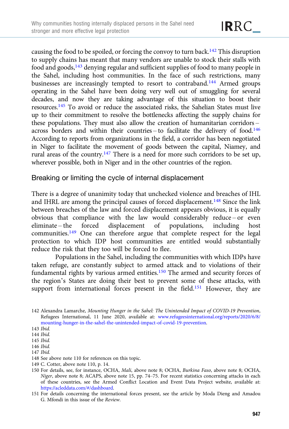causing the food to be spoiled, or forcing the convoy to turn back.142 This disruption to supply chains has meant that many vendors are unable to stock their stalls with food and goods,143 denying regular and sufficient supplies of food to many people in the Sahel, including host communities. In the face of such restrictions, many businesses are increasingly tempted to resort to contraband.<sup>144</sup> Armed groups operating in the Sahel have been doing very well out of smuggling for several decades, and now they are taking advantage of this situation to boost their resources.145 To avoid or reduce the associated risks, the Sahelian States must live up to their commitment to resolve the bottlenecks affecting the supply chains for these populations. They must also allow the creation of humanitarian corridors – across borders and within their countries – to facilitate the delivery of food.<sup>146</sup> According to reports from organizations in the field, a corridor has been negotiated in Niger to facilitate the movement of goods between the capital, Niamey, and rural areas of the country.147 There is a need for more such corridors to be set up, wherever possible, both in Niger and in the other countries of the region.

## Breaking or limiting the cycle of internal displacement

There is a degree of unanimity today that unchecked violence and breaches of IHL and IHRL are among the principal causes of forced displacement.<sup>148</sup> Since the link between breaches of the law and forced displacement appears obvious, it is equally obvious that compliance with the law would considerably reduce – or even eliminate – the forced displacement of populations, including host communities.<sup>149</sup> One can therefore argue that complete respect for the legal protection to which IDP host communities are entitled would substantially reduce the risk that they too will be forced to flee.

Populations in the Sahel, including the communities with which IDPs have taken refuge, are constantly subject to armed attack and to violations of their fundamental rights by various armed entities.150 The armed and security forces of the region's States are doing their best to prevent some of these attacks, with support from international forces present in the field.<sup>151</sup> However, they are

148 See above note 110 for references on this topic.

<sup>142</sup> Alexandra Lamarche, Mounting Hunger in the Sahel: The Unintended Impact of COVID-19 Prevention, Refugees International, 11 June 2020, available at: [www.refugeesinternational.org/reports/2020/6/8/](https://www.refugeesinternational.org/reports/2020/6/8/mounting-hunger-in-the-sahel-the-unintended-impact-of-covid-19-prevention) [mounting-hunger-in-the-sahel-the-unintended-impact-of-covid-19-prevention](https://www.refugeesinternational.org/reports/2020/6/8/mounting-hunger-in-the-sahel-the-unintended-impact-of-covid-19-prevention).

<sup>143</sup> Ibid.

<sup>144</sup> Ibid. 145 Ibid.

<sup>146</sup> Ibid.

<sup>147</sup> Ibid.

<sup>149</sup> C. Cotter, above note 110, p. 14.

<sup>150</sup> For details, see, for instance, OCHA, Mali, above note 8; OCHA, Burkina Faso, above note 8; OCHA, Niger, above note 8; ACAPS, above note 15, pp. 74–75. For recent statistics concerning attacks in each of these countries, see the Armed Conflict Location and Event Data Project website, available at: [https://acleddata.com/#/dashboard.](https://acleddata.com/%23/dashboard)

<sup>151</sup> For details concerning the international forces present, see the article by Moda Dieng and Amadou G. Mfondi in this issue of the Review.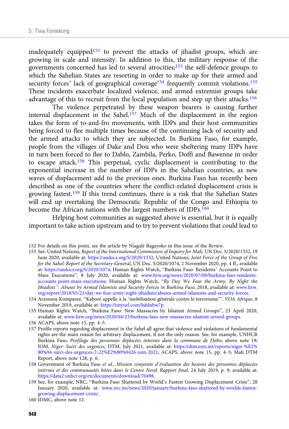inadequately equipped<sup>152</sup> to prevent the attacks of jihadist groups, which are growing in scale and intensity. In addition to this, the military response of the governments concerned has led to several atrocities;153 the self-defence groups to which the Sahelian States are resorting in order to make up for their armed and security forces' lack of geographical coverage<sup>154</sup> frequently commit violations.<sup>155</sup> These incidents exacerbate localized violence, and armed extremist groups take advantage of this to recruit from the local population and step up their attacks.156

The violence perpetrated by these weapon bearers is causing further internal displacement in the Sahel.<sup>157</sup> Much of the displacement in the region takes the form of to-and-fro movements, with IDPs and their host communities being forced to flee multiple times because of the continuing lack of security and the armed attacks to which they are subjected. In Burkina Faso, for example, people from the villages of Dake and Dou who were sheltering many IDPs have in turn been forced to flee to Dablo, Zambila, Perko, Doffi and Bawenne in order to escape attack.158 This perpetual, cyclic displacement is contributing to the exponential increase in the number of IDPs in the Sahelian countries, as new waves of displacement add to the previous ones. Burkina Faso has recently been described as one of the countries where the conflict-related displacement crisis is growing fastest.159 If this trend continues, there is a risk that the Sahelian States will end up overtaking the Democratic Republic of the Congo and Ethiopia to become the African nations with the largest numbers of IDPs.<sup>160</sup>

Helping host communities as suggested above is essential, but it is equally important to take action upstream and to try to prevent violations that could lead to

<sup>152</sup> For details on this point, see the article by Niagalé Bagayoko in this issue of the Review.

<sup>153</sup> See: United Nations, Report of the International Commission of Inquiry for Mali, UN Doc. S/2020/1332, 19 June 2020, available at: [https://undocs.org/S/2020/1332;](https://undocs.org/S/2020/1332) United Nations, Joint Force of the Group of Five for the Sahel: Report of the Secretary-General, UN Doc. S/2020/1074, 2 November 2020, pp. 4 ff., available at: <https://undocs.org/S/2020/1074>; Human Rights Watch, "Burkina Faso: Residents' Accounts Point to Mass Executions", 8 July 2020, available at: [www.hrw.org/news/2020/07/08/burkina-faso-residents](https://www.hrw.org/news/2020/07/08/burkina-faso-residents-accounts-point-mass-executions)[accounts-point-mass-executions](https://www.hrw.org/news/2020/07/08/burkina-faso-residents-accounts-point-mass-executions); Human Rights Watch, "By Day We Fear the Army, By Night the Jihadists": Abuses by Armed Islamists and Security Forces in Burkina Faso, 2018, available at: [www.hrw.](https://www.hrw.org/report/2018/05/21/day-we-fear-army-night-jihadists/abuses-armed-islamists-and-security-forces) [org/report/2018/05/21/day-we-fear-army-night-jihadists/abuses-armed-islamists-and-security-forces](https://www.hrw.org/report/2018/05/21/day-we-fear-army-night-jihadists/abuses-armed-islamists-and-security-forces).

<sup>154</sup> Arzouma Kompaoré, "Kaboré appelle à la 'mobilisation générale contre le terrorisme'", VOA Afrique, 8 November 2019, available at: [https://tinyurl.com/bddnbw7p.](https://tinyurl.com/bddnbw7p)

<sup>155</sup> Human Rights Watch, "Burkina Faso: New Massacres by Islamist Armed Groups", 23 April 2020, available at: [www.hrw.org/news/2020/04/23/burkina-faso-new-massacres-islamist-armed-groups](https://www.hrw.org/news/2020/04/23/burkina-faso-new-massacres-islamist-armed-groups).

<sup>156</sup> ACAPS, above note 15, pp. 4–5.

<sup>157</sup> Profile reports regarding displacement in the Sahel all agree that violence and violations of fundamental rights are the main reason for arbitrary displacement, if not the only reason. See, for example, UNHCR Burkina Faso, Profilage des personnes déplacées internes dans la commune de Djibo, above note 19; IOM, Niger: Suivi des urgences, DTM, July 2021, available at: [https://dtm.iom.int/reports/niger-%E2%](https://dtm.iom.int/reports/niger-%E2%80%94-suivi-des-urgences-2-22%E2%80%9426-juin-2021) [80%94-suivi-des-urgences-2-22%E2%80%9426-juin-2021](https://dtm.iom.int/reports/niger-%E2%80%94-suivi-des-urgences-2-22%E2%80%9426-juin-2021); ACAPS, above note 15, pp. 4–5; Mali DTM Report, above note 128, p. 6.

<sup>158</sup> Government of Burkina Faso et al., Mission conjointe d'évaluation des besoins des personnes déplacées internes et des communautés hôtes dans le Centre Nord: Rapport final, 24 July 2019, p. 9, available at: [https://data2.unhcr.org/en/documents/download/70498.](https://data2.unhcr.org/en/documents/download/70498)

<sup>159</sup> See, for example, NRC, "Burkina Faso Shattered by World's Fastest Growing Displacement Crisis", 28 January 2020, available at: [www.nrc.no/news/2020/january/burkina-faso-shattered-by-worlds-fastest](https://www.nrc.no/news/2020/january/burkina-faso-shattered-by-worlds-fastest-growing-displacement-crisis/)[growing-displacement-crisis/.](https://www.nrc.no/news/2020/january/burkina-faso-shattered-by-worlds-fastest-growing-displacement-crisis/)

<sup>160</sup> IDMC, above note 12.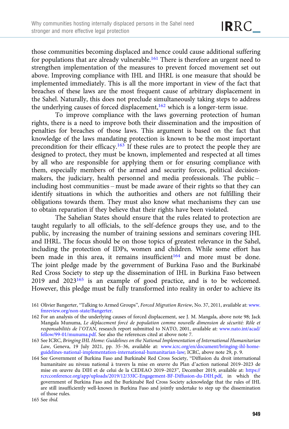those communities becoming displaced and hence could cause additional suffering for populations that are already vulnerable.<sup>161</sup> There is therefore an urgent need to strengthen implementation of the measures to prevent forced movement set out above. Improving compliance with IHL and IHRL is one measure that should be implemented immediately. This is all the more important in view of the fact that breaches of these laws are the most frequent cause of arbitrary displacement in the Sahel. Naturally, this does not preclude simultaneously taking steps to address the underlying causes of forced displacement, $162$  which is a longer-term issue.

To improve compliance with the laws governing protection of human rights, there is a need to improve both their dissemination and the imposition of penalties for breaches of those laws. This argument is based on the fact that knowledge of the laws mandating protection is known to be the most important precondition for their efficacy.163 If these rules are to protect the people they are designed to protect, they must be known, implemented and respected at all times by all who are responsible for applying them or for ensuring compliance with them, especially members of the armed and security forces, political decisionmakers, the judiciary, health personnel and media professionals. The public – including host communities – must be made aware of their rights so that they can identify situations in which the authorities and others are not fulfilling their obligations towards them. They must also know what mechanisms they can use to obtain reparation if they believe that their rights have been violated.

The Sahelian States should ensure that the rules related to protection are taught regularly to all officials, to the self-defence groups they use, and to the public, by increasing the number of training sessions and seminars covering IHL and IHRL. The focus should be on those topics of greatest relevance in the Sahel, including the protection of IDPs, women and children. While some effort has been made in this area, it remains insufficient<sup>164</sup> and more must be done. The joint pledge made by the government of Burkina Faso and the Burkinabé Red Cross Society to step up the dissemination of IHL in Burkina Faso between 2019 and 2023165 is an example of good practice, and is to be welcomed. However, this pledge must be fully transformed into reality in order to achieve its

- 161 Olivier Bangerter, "Talking to Armed Groups", Forced Migration Review, No. 37, 2011, available at: [www.](https://www.fmreview.org/non-state/Bangerter) [fmreview.org/non-state/Bangerter.](https://www.fmreview.org/non-state/Bangerter)
- 162 For an analysis of the underlying causes of forced displacement, see J. M. Mangala, above note 98; Jack Mangala Munuma, Le déplacement forcé de population comme nouvelle dimension de sécurité: Rôle et responsabilités de l'OTAN, research report submitted to NATO, 2001, available at: [www.nato.int/acad/](https://www.nato.int/acad/fellow/99-01/munuma.pdf) [fellow/99-01/munuma.pdf.](https://www.nato.int/acad/fellow/99-01/munuma.pdf) See also the references cited at above note 7.
- 163 See ICRC, Bringing IHL Home: Guidelines on the National Implementation of International Humanitarian Law, Geneva, 19 July 2021, pp. 35-36, available at: [www.icrc.org/en/document/bringing-ihl-home](https://www.icrc.org/en/document/bringing-ihl-home-guidelines-national-implementation-international-humanitarian-law)[guidelines-national-implementation-international-humanitarian-law](https://www.icrc.org/en/document/bringing-ihl-home-guidelines-national-implementation-international-humanitarian-law); ICRC, above note 29, p. 9.
- 164 See Government of Burkina Faso and Burkinabé Red Cross Society, "Diffusion du droit international humanitaire au niveau national à travers la mise en œuvre du Plan d'action national 2019–2023 de mise en œuvre du DIH et de celui de la CEDEAO 2019–2023", December 2019, available at: [https://](https://rcrcconference.org/app/uploads/2019/12/33IC-Engagement-BF-Diffusion-du-DIH.pdf) [rcrcconference.org/app/uploads/2019/12/33IC-Engagement-BF-Diffusion-du-DIH.pdf,](https://rcrcconference.org/app/uploads/2019/12/33IC-Engagement-BF-Diffusion-du-DIH.pdf) in which the government of Burkina Faso and the Burkinabé Red Cross Society acknowledge that the rules of IHL are still insufficiently well-known in Burkina Faso and jointly undertake to step up the dissemination of those rules.

<sup>165</sup> See ibid.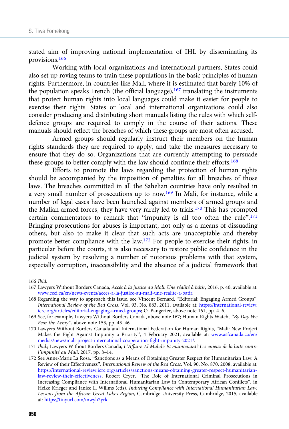stated aim of improving national implementation of IHL by disseminating its provisions.166

Working with local organizations and international partners, States could also set up roving teams to train these populations in the basic principles of human rights. Furthermore, in countries like Mali, where it is estimated that barely 10% of the population speaks French (the official language), $167$  translating the instruments that protect human rights into local languages could make it easier for people to exercise their rights. States or local and international organizations could also consider producing and distributing short manuals listing the rules with which selfdefence groups are required to comply in the course of their actions. These manuals should reflect the breaches of which these groups are most often accused.

Armed groups should regularly instruct their members on the human rights standards they are required to apply, and take the measures necessary to ensure that they do so. Organizations that are currently attempting to persuade these groups to better comply with the law should continue their efforts.<sup>168</sup>

Efforts to promote the laws regarding the protection of human rights should be accompanied by the imposition of penalties for all breaches of those laws. The breaches committed in all the Sahelian countries have only resulted in a very small number of prosecutions up to now.169 In Mali, for instance, while a number of legal cases have been launched against members of armed groups and the Malian armed forces, they have very rarely led to trials.170 This has prompted certain commentators to remark that "impunity is all too often the rule".<sup>171</sup> Bringing prosecutions for abuses is important, not only as a means of dissuading others, but also to make it clear that such acts are unacceptable and thereby promote better compliance with the law.172 For people to exercise their rights, in particular before the courts, it is also necessary to restore public confidence in the judicial system by resolving a number of notorious problems with that system, especially corruption, inaccessibility and the absence of a judicial framework that

166 Ibid.

<sup>167</sup> Lawyers Without Borders Canada, Accès à la justice au Mali: Une réalité à bâtir, 2016, p. 40, available at: [www.ceci.ca/en/news-events/acces-a-la-justice-au-mali-une-realite-a-batir](https://www.ceci.ca/en/news-events/acces-a-la-justice-au-mali-une-realite-a-batir).

<sup>168</sup> Regarding the way to approach this issue, see Vincent Bernard, "Editorial: Engaging Armed Groups", International Review of the Red Cross, Vol. 93, No. 883, 2011, available at: [https://international-review.](https://international-review.icrc.org/articles/editorial-engaging-armed-groups) [icrc.org/articles/editorial-engaging-armed-groups](https://international-review.icrc.org/articles/editorial-engaging-armed-groups); O. Bangerter, above note 161, pp. 4–6.

<sup>169</sup> See, for example, Lawyers Without Borders Canada, above note 167; Human Rights Watch, "By Day We Fear the Army", above note 153, pp. 43-46.

<sup>170</sup> Lawyers Without Borders Canada and International Federation for Human Rights, "Mali: New Project Makes the Fight Against Impunity a Priority", 4 February 2021, available at: [www.asfcanada.ca/en/](https://www.asfcanada.ca/en/medias/news/mali-project-international-cooperation-fight-impunity-2021/) [medias/news/mali-project-international-cooperation-fight-impunity-2021/](https://www.asfcanada.ca/en/medias/news/mali-project-international-cooperation-fight-impunity-2021/).

<sup>171</sup> Ibid.; Lawyers Without Borders Canada, L'Affaire Al Mahdi: Et maintenant? Les enjeux de la lutte contre l'impunité au Mali, 2017, pp. 8–14.

<sup>172</sup> See Anne-Marie La Rosa, "Sanctions as a Means of Obtaining Greater Respect for Humanitarian Law: A Review of their Effectiveness", International Review of the Red Cross, Vol. 90, No. 870, 2008, available at: [https://international-review.icrc.org/articles/sanctions-means-obtaining-greater-respect-humanitarian](https://international-review.icrc.org/articles/sanctions-means-obtaining-greater-respect-humanitarian-law-review-their-effectiveness)[law-review-their-effectiveness](https://international-review.icrc.org/articles/sanctions-means-obtaining-greater-respect-humanitarian-law-review-their-effectiveness); Robert Cryer, "The Role of International Criminal Prosecutions in Increasing Compliance with International Humanitarian Law in Contemporary African Conflicts", in Heike Krieger and Janice L. Willms (eds), Inducing Compliance with International Humanitarian Law: Lessons from the African Great Lakes Region, Cambridge University Press, Cambridge, 2015, available at: <https://tinyurl.com/mwyh2yrk>.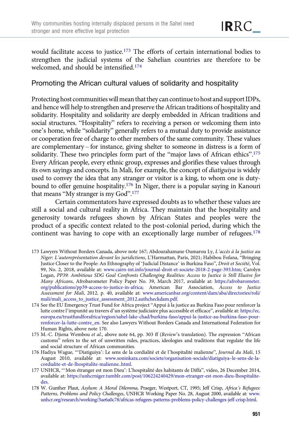would facilitate access to justice.<sup>173</sup> The efforts of certain international bodies to strengthen the judicial systems of the Sahelian countries are therefore to be welcomed, and should be intensified.174

# Promoting the African cultural values of solidarity and hospitality

Protecting host communitieswillmean that they can continue to host and support IDPs, and hence will help to strengthen and preserve the African traditions of hospitality and solidarity. Hospitality and solidarity are deeply embedded in African traditions and social structures. "Hospitality" refers to receiving a person or welcoming them into one's home, while "solidarity" generally refers to a mutual duty to provide assistance or cooperation free of charge to other members of the same community. These values are complementary – for instance, giving shelter to someone in distress is a form of solidarity. These two principles form part of the "major laws of African ethics".<sup>175</sup> Every African people, every ethnic group, expresses and glorifies these values through its own sayings and concepts. In Mali, for example, the concept of diatiguiya is widely used to convey the idea that any stranger or visitor is a king, to whom one is dutybound to offer genuine hospitality.176 In Niger, there is a popular saying in Kanouri that means "My stranger is my God".<sup>177</sup>

Certain commentators have expressed doubts as to whether these values are still a social and cultural reality in Africa. They maintain that the hospitality and generosity towards refugees shown by African States and peoples were the product of a specific context related to the post-colonial period, during which the continent was having to cope with an exceptionally large number of refugees.<sup>178</sup>

- 173 Lawyers Without Borders Canada, above note 167; Abdourahamane Oumarou Ly, L'accès à la justice au Niger: L'autoreprésentation devant les juridictions, L'Harmattan, Paris, 2021; Habibou Fofana, "Bringing Justice Closer to the People: An Ethnography of 'Judicial Distance' in Burkina Faso", Droit et Société, Vol. 99, No. 2, 2018, available at: [www.cairn-int.info/journal-droit-et-societe-2018-2-page-393.htm;](https://www.cairn-int.info/journal-droit-et-societe-2018-2-page-393.htm) Carolyn Logan, PP39: Ambitious SDG Goal Confronts Challenging Realities: Access to Justice is Still Elusive for Many Africans, Afrobarometer Policy Paper No. 39, March 2017, available at: [https://afrobarometer.](https://afrobarometer.org/publications/pp39-access-to-justice-in-africa) [org/publications/pp39-access-to-justice-in-africa](https://afrobarometer.org/publications/pp39-access-to-justice-in-africa); American Bar Association, Access to Justice Assessment for Mali, 2012, p. 40, available at: [www.americanbar.org/content/dam/aba/directories/roli/](http://www.americanbar.org/content/dam/aba/directories/roli/mali/mali_access_to_justice_assessment_2012.authcheckdam.pdf) [mali/mali\\_access\\_to\\_justice\\_assessment\\_2012.authcheckdam.pdf](http://www.americanbar.org/content/dam/aba/directories/roli/mali/mali_access_to_justice_assessment_2012.authcheckdam.pdf).
- 174 See the EU Emergency Trust Fund for Africa project "Appui à la justice au Burkina Faso pour renforcer la lutte contre l'impunité au travers d'un système judiciaire plus accessible et efficace", available at: [https://ec.](https://ec.europa.eu/trustfundforafrica/region/sahel-lake-chad/burkina-faso/appui-la-justice-au-burkina-faso-pour-renforcer-la-lutte-contre_en) [europa.eu/trustfundforafrica/region/sahel-lake-chad/burkina-faso/appui-la-justice-au-burkina-faso-pour](https://ec.europa.eu/trustfundforafrica/region/sahel-lake-chad/burkina-faso/appui-la-justice-au-burkina-faso-pour-renforcer-la-lutte-contre_en)[renforcer-la-lutte-contre\\_en](https://ec.europa.eu/trustfundforafrica/region/sahel-lake-chad/burkina-faso/appui-la-justice-au-burkina-faso-pour-renforcer-la-lutte-contre_en). See also Lawyers Without Borders Canada and International Federation for Human Rights, above note 170.
- 175 M.-C. Djiena Wembou et al., above note 64, pp. 303 ff (Review's translation). The expression "African customs" refers to the set of unwritten rules, practices, ideologies and traditions that regulate the life and social structure of African communities.
- 176 Hadiya Wague, "'Diatiguiya': Le sens de la cordialité et de l'hospitalité malienne", Journal du Mali, 15 August 2010, available at: [www.soninkara.com/societe/organisation-sociale/diatiguiya](http://www.soninkara.com/societe/organisation-sociale/diatiguiya--le-sens-de-la-cordialite-et-de-lhospitalite-malienne..html)–le-sens-de-la[cordialite-et-de-lhospitalite-malienne..html](http://www.soninkara.com/societe/organisation-sociale/diatiguiya--le-sens-de-la-cordialite-et-de-lhospitalite-malienne..html).
- 177 UNHCR, "'Mon étranger est mon Dieu': L'hospitalité des habitants de Diffa", video, 26 December 2014, available at: [https://unhcrniger.tumblr.com/post/106224240429/mon-etranger-est-mon-dieu-lhospitalite](https://unhcrniger.tumblr.com/post/106224240429/mon-etranger-est-mon-dieu-lhospitalite-des)[des](https://unhcrniger.tumblr.com/post/106224240429/mon-etranger-est-mon-dieu-lhospitalite-des).
- 178 W. Gunther Plaut, Asylum: A Moral Dilemma, Praeger, Westport, CT, 1995; Jeff Crisp, Africa's Refugees: Patterns, Problems and Policy Challenges, UNHCR Working Paper No. 28, August 2000, available at: [www.](https://www.unhcr.org/research/working/3ae6a0c78/africas-refugees-patterns-problems-policy-challenges-jeff-crisp.html) [unhcr.org/research/working/3ae6a0c78/africas-refugees-patterns-problems-policy-challenges-jeff-crisp.html.](https://www.unhcr.org/research/working/3ae6a0c78/africas-refugees-patterns-problems-policy-challenges-jeff-crisp.html)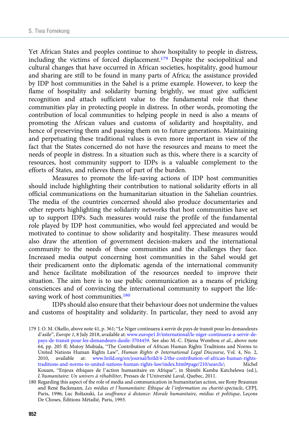Yet African States and peoples continue to show hospitality to people in distress, including the victims of forced displacement.179 Despite the sociopolitical and cultural changes that have occurred in African societies, hospitality, good humour and sharing are still to be found in many parts of Africa; the assistance provided by IDP host communities in the Sahel is a prime example. However, to keep the flame of hospitality and solidarity burning brightly, we must give sufficient recognition and attach sufficient value to the fundamental role that these communities play in protecting people in distress. In other words, promoting the contribution of local communities to helping people in need is also a means of promoting the African values and customs of solidarity and hospitality, and hence of preserving them and passing them on to future generations. Maintaining and perpetuating these traditional values is even more important in view of the fact that the States concerned do not have the resources and means to meet the needs of people in distress. In a situation such as this, where there is a scarcity of resources, host community support to IDPs is a valuable complement to the efforts of States, and relieves them of part of the burden.

Measures to promote the life-saving actions of IDP host communities should include highlighting their contribution to national solidarity efforts in all official communications on the humanitarian situation in the Sahelian countries. The media of the countries concerned should also produce documentaries and other reports highlighting the solidarity networks that host communities have set up to support IDPs. Such measures would raise the profile of the fundamental role played by IDP host communities, who would feel appreciated and would be motivated to continue to show solidarity and hospitality. These measures would also draw the attention of government decision-makers and the international community to the needs of these communities and the challenges they face. Increased media output concerning host communities in the Sahel would get their predicament onto the diplomatic agenda of the international community and hence facilitate mobilization of the resources needed to improve their situation. The aim here is to use public communication as a means of pricking consciences and of convincing the international community to support the lifesaving work of host communities.<sup>180</sup>

IDPs should also ensure that their behaviour does not undermine the values and customs of hospitality and solidarity. In particular, they need to avoid any

<sup>179</sup> J. O. M. Okello, above note 41, p. 361; "Le Niger continuera à servir de pays de transit pour les demandeurs d'asile", Europe 1, 8 July 2018, available at: [www.europe1.fr/international/le-niger-continuera-a-servir-de](https://www.europe1.fr/international/le-niger-continuera-a-servir-de-pays-de-transit-pour-les-demandeurs-dasile-3704459)[pays-de-transit-pour-les-demandeurs-dasile-3704459.](https://www.europe1.fr/international/le-niger-continuera-a-servir-de-pays-de-transit-pour-les-demandeurs-dasile-3704459) See also M.-C. Djiena Wembou et al., above note 64, pp. 205 ff; Mutoy Mubiala, "The Contribution of African Human Rights Traditions and Norms to United Nations Human Rights Law", Human Rights & International Legal Discourse, Vol. 4, No. 2, 2010, available at: [www.hrild.org/en/journal/hrild/4-2/the-contribution-of-african-human-rights](https://www.hrild.org/en/journal/hrild/4-2/the-contribution-of-african-human-rights-traditions-and-norms-to-united-nations-human-rights-law/index.html#page/210/search/)[traditions-and-norms-to-united-nations-human-rights-law/index.html#page/210/search/](https://www.hrild.org/en/journal/hrild/4-2/the-contribution-of-african-human-rights-traditions-and-norms-to-united-nations-human-rights-law/index.html#page/210/search/); Michel Kouam, "Enjeux éthiques de l'action humanitaire en Afrique", in Shimbi Kamba Katchelewa (ed.), L'humanitaire: Un univers à réhabiliter, Presses de l'Université Laval, Quebec, 2011.

<sup>180</sup> Regarding this aspect of the role of media and communication in humanitarian action, see Rony Brauman and René Backmann, Les médias et l'humanitaire: Éthique de l'information ou charité-spectacle, CFPJ, Paris, 1996; Luc Boltanski, La souffrance à distance: Morale humanitaire, médias et politique, Leçons De Choses, Éditions Métailié, Paris, 1993.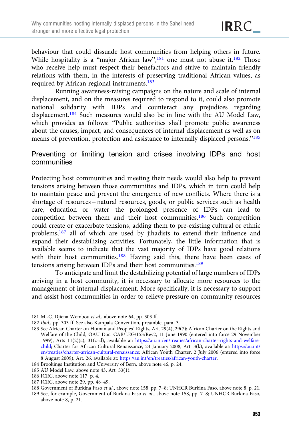behaviour that could dissuade host communities from helping others in future. While hospitality is a "major African law",<sup>181</sup> one must not abuse it.<sup>182</sup> Those who receive help must respect their benefactors and strive to maintain friendly relations with them, in the interests of preserving traditional African values, as required by African regional instruments.<sup>183</sup>

Running awareness-raising campaigns on the nature and scale of internal displacement, and on the measures required to respond to it, could also promote national solidarity with IDPs and counteract any prejudices regarding displacement.<sup>184</sup> Such measures would also be in line with the AU Model Law, which provides as follows: "Public authorities shall promote public awareness about the causes, impact, and consequences of internal displacement as well as on means of prevention, protection and assistance to internally displaced persons."<sup>185</sup>

Preventing or limiting tension and crises involving IDPs and host communities

Protecting host communities and meeting their needs would also help to prevent tensions arising between those communities and IDPs, which in turn could help to maintain peace and prevent the emergence of new conflicts. Where there is a shortage of resources – natural resources, goods, or public services such as health care, education or water – the prolonged presence of IDPs can lead to competition between them and their host communities.186 Such competition could create or exacerbate tensions, adding them to pre-existing cultural or ethnic problems,187 all of which are used by jihadists to extend their influence and expand their destabilizing activities. Fortunately, the little information that is available seems to indicate that the vast majority of IDPs have good relations with their host communities.<sup>188</sup> Having said this, there have been cases of tensions arising between IDPs and their host communities.<sup>189</sup>

To anticipate and limit the destabilizing potential of large numbers of IDPs arriving in a host community, it is necessary to allocate more resources to the management of internal displacement. More specifically, it is necessary to support and assist host communities in order to relieve pressure on community resources

- 185 AU Model Law, above note 43, Art. 53(1).
- 186 ICRC, above note 117, p. 4.
- 187 ICRC, above note 29, pp. 48–49.

188 Government of Burkina Faso et al., above note 158, pp. 7–8; UNHCR Burkina Faso, above note 8, p. 21.

189 See, for example, Government of Burkina Faso et al., above note 158, pp. 7–8; UNHCR Burkina Faso, above note 8, p. 21.

<sup>181</sup> M.-C. Djiena Wembou et al., above note 64, pp. 303 ff.

<sup>182</sup> Ibid., pp. 303 ff. See also Kampala Convention, preamble, para. 3.

<sup>183</sup> See African Charter on Human and Peoples' Rights, Art. 29(4), 29(7); African Charter on the Rights and Welfare of the Child, OAU Doc. CAB/LEG/153/Rev2, 11 June 1990 (entered into force 29 November 1999), Arts 11(2)(c), 31(c–d), available at: [https://au.int/en/treaties/african-charter-rights-and-welfare](https://au.int/en/treaties/african-charter-rights-and-welfare-child)[child;](https://au.int/en/treaties/african-charter-rights-and-welfare-child) Charter for African Cultural Renaissance, 24 January 2008, Art. 3(k), available at: [https://au.int/](https://au.int/en/treaties/charter-african-cultural-renaissance) [en/treaties/charter-african-cultural-renaissance](https://au.int/en/treaties/charter-african-cultural-renaissance); African Youth Charter, 2 July 2006 (entered into force 8 August 2009), Art. 26, available at: <https://au.int/en/treaties/african-youth-charter>.

<sup>184</sup> Brookings Institution and University of Bern, above note 46, p. 24.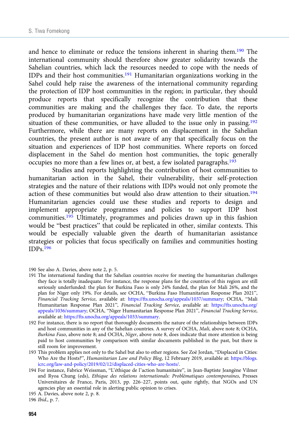and hence to eliminate or reduce the tensions inherent in sharing them.<sup>190</sup> The international community should therefore show greater solidarity towards the Sahelian countries, which lack the resources needed to cope with the needs of IDPs and their host communities.<sup>191</sup> Humanitarian organizations working in the Sahel could help raise the awareness of the international community regarding the protection of IDP host communities in the region; in particular, they should produce reports that specifically recognize the contribution that these communities are making and the challenges they face. To date, the reports produced by humanitarian organizations have made very little mention of the situation of these communities, or have alluded to the issue only in passing.<sup>192</sup> Furthermore, while there are many reports on displacement in the Sahelian countries, the present author is not aware of any that specifically focus on the situation and experiences of IDP host communities. Where reports on forced displacement in the Sahel do mention host communities, the topic generally occupies no more than a few lines or, at best, a few isolated paragraphs.193

Studies and reports highlighting the contribution of host communities to humanitarian action in the Sahel, their vulnerability, their self-protection strategies and the nature of their relations with IDPs would not only promote the action of these communities but would also draw attention to their situation.194 Humanitarian agencies could use these studies and reports to design and implement appropriate programmes and policies to support IDP host communities.<sup>195</sup> Ultimately, programmes and policies drawn up in this fashion would be "best practices" that could be replicated in other, similar contexts. This would be especially valuable given the dearth of humanitarian assistance strategies or policies that focus specifically on families and communities hosting  $IDPs.196$ 

<sup>190</sup> See also A. Davies, above note 2, p. 5.

<sup>191</sup> The international funding that the Sahelian countries receive for meeting the humanitarian challenges they face is totally inadequate. For instance, the response plans for the countries of this region are still seriously underfunded: the plan for Burkina Faso is only 24% funded, the plan for Mali 26%, and the plan for Niger only 19%. For details, see OCHA, "Burkina Faso Humanitarian Response Plan 2021", Financial Tracking Service, available at: [https://fts.unocha.org/appeals/1037/summary;](https://fts.unocha.org/appeals/1037/summary) OCHA, "Mali Humanitarian Response Plan 2021", Financial Tracking Service, available at: [https://fts.unocha.org/](https://fts.unocha.org/appeals/1036/summary) [appeals/1036/summary](https://fts.unocha.org/appeals/1036/summary); OCHA, "Niger Humanitarian Response Plan 2021", Financial Tracking Service, available at: <https://fts.unocha.org/appeals/1033/summary>.

<sup>192</sup> For instance, there is no report that thoroughly documents the nature of the relationships between IDPs and host communities in any of the Sahelian countries. A survey of OCHA, Mali, above note 8; OCHA, Burkina Faso, above note 8; and OCHA, Niger, above note 8, does indicate that more attention is being paid to host communities by comparison with similar documents published in the past, but there is still room for improvement.

<sup>193</sup> This problem applies not only to the Sahel but also to other regions. See Zoë Jordan, "Displaced in Cities: Who Are the Hosts?", Humanitarian Law and Policy Blog, 12 February 2019, available at: [https://blogs.](https://blogs.icrc.org/law-and-policy/2019/02/12/displaced-cities-who-are-hosts/) [icrc.org/law-and-policy/2019/02/12/displaced-cities-who-are-hosts/.](https://blogs.icrc.org/law-and-policy/2019/02/12/displaced-cities-who-are-hosts/)

<sup>194</sup> For instance, Fabrice Weissman, "L'éthique de l'action humanitaire", in Jean-Baptiste Jeangène Vilmer and Ryoa Chung (eds), Ethique des relations internationals: Problématiques contemporaines, Presses Universitaires de France, Paris, 2013, pp. 226–227, points out, quite rightly, that NGOs and UN agencies play an essential role in alerting public opinion to crises.

<sup>195</sup> A. Davies, above note 2, p. 8.

<sup>196</sup> Ibid., p. 7.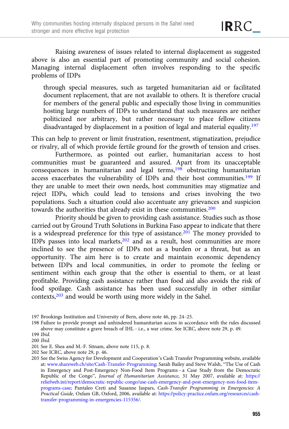Raising awareness of issues related to internal displacement as suggested above is also an essential part of promoting community and social cohesion. Managing internal displacement often involves responding to the specific problems of IDPs

through special measures, such as targeted humanitarian aid or facilitated document replacement, that are not available to others. It is therefore crucial for members of the general public and especially those living in communities hosting large numbers of IDPs to understand that such measures are neither politicized nor arbitrary, but rather necessary to place fellow citizens disadvantaged by displacement in a position of legal and material equality.<sup>197</sup>

This can help to prevent or limit frustration, resentment, stigmatization, prejudice or rivalry, all of which provide fertile ground for the growth of tension and crises.

Furthermore, as pointed out earlier, humanitarian access to host communities must be guaranteed and assured. Apart from its unacceptable consequences in humanitarian and legal terms,<sup>198</sup> obstructing humanitarian access exacerbates the vulnerability of IDPs and their host communities.199 If they are unable to meet their own needs, host communities may stigmatize and reject IDPs, which could lead to tensions and crises involving the two populations. Such a situation could also accentuate any grievances and suspicion towards the authorities that already exist in these communities.<sup>200</sup>

Priority should be given to providing cash assistance. Studies such as those carried out by Ground Truth Solutions in Burkina Faso appear to indicate that there is a widespread preference for this type of assistance.<sup>201</sup> The money provided to IDPs passes into local markets,202 and as a result, host communities are more inclined to see the presence of IDPs not as a burden or a threat, but as an opportunity. The aim here is to create and maintain economic dependency between IDPs and local communities, in order to promote the feeling or sentiment within each group that the other is essential to them, or at least profitable. Providing cash assistance rather than food aid also avoids the risk of food spoilage. Cash assistance has been used successfully in other similar contexts,<sup>203</sup> and would be worth using more widely in the Sahel.

<sup>197</sup> Brookings Institution and University of Bern, above note 46, pp. 24–25.

<sup>198</sup> Failure to provide prompt and unhindered humanitarian access in accordance with the rules discussed above may constitute a grave breach of IHL – i.e., a war crime. See ICRC, above note 29, p. 49.

<sup>199</sup> Ibid.

<sup>200</sup> Ibid.

<sup>201</sup> See E. Shea and M.-F. Sitnam, above note 115, p. 8.

<sup>202</sup> See ICRC, above note 29, p. 46.

<sup>203</sup> See the Swiss Agency for Development and Cooperation's Cash Transfer Programming website, available at: [www.shareweb.ch/site/Cash-Transfer-Programming](https://www.shareweb.ch/site/Cash-Transfer-Programming); Sarah Bailey and Steve Walsh, "The Use of Cash in Emergency and Post-Emergency Non-Food Item Programs – a Case Study from the Democratic Republic of the Congo", Journal of Humanitarian Assistance, 31 May 2007, available at: [https://](https://reliefweb.int/report/democratic-republic-congo/use-cash-emergency-and-post-emergency-non-food-item-programs-case) [reliefweb.int/report/democratic-republic-congo/use-cash-emergency-and-post-emergency-non-food-item](https://reliefweb.int/report/democratic-republic-congo/use-cash-emergency-and-post-emergency-non-food-item-programs-case)[programs-case](https://reliefweb.int/report/democratic-republic-congo/use-cash-emergency-and-post-emergency-non-food-item-programs-case); Pantaleo Creti and Susanne Jaspars, Cash-Transfer Programming in Emergencies: A Practical Guide, Oxfam GB, Oxford, 2006, available at: [https://policy-practice.oxfam.org/resources/cash](https://policy-practice.oxfam.org/resources/cash-transfer-programming-in-emergencies-115356/)[transfer-programming-in-emergencies-115356/.](https://policy-practice.oxfam.org/resources/cash-transfer-programming-in-emergencies-115356/)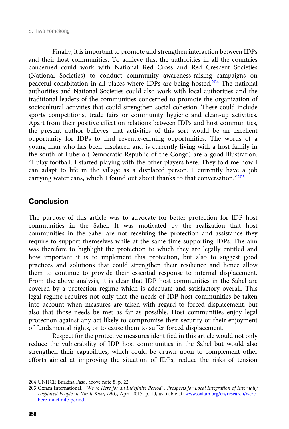Finally, it is important to promote and strengthen interaction between IDPs and their host communities. To achieve this, the authorities in all the countries concerned could work with National Red Cross and Red Crescent Societies (National Societies) to conduct community awareness-raising campaigns on peaceful cohabitation in all places where IDPs are being hosted.204 The national authorities and National Societies could also work with local authorities and the traditional leaders of the communities concerned to promote the organization of sociocultural activities that could strengthen social cohesion. These could include sports competitions, trade fairs or community hygiene and clean-up activities. Apart from their positive effect on relations between IDPs and host communities, the present author believes that activities of this sort would be an excellent opportunity for IDPs to find revenue-earning opportunities. The words of a young man who has been displaced and is currently living with a host family in the south of Lubero (Democratic Republic of the Congo) are a good illustration: "I play football. I started playing with the other players here. They told me how I can adapt to life in the village as a displaced person. I currently have a job carrying water cans, which I found out about thanks to that conversation."<sup>205</sup>

## **Conclusion**

The purpose of this article was to advocate for better protection for IDP host communities in the Sahel. It was motivated by the realization that host communities in the Sahel are not receiving the protection and assistance they require to support themselves while at the same time supporting IDPs. The aim was therefore to highlight the protection to which they are legally entitled and how important it is to implement this protection, but also to suggest good practices and solutions that could strengthen their resilience and hence allow them to continue to provide their essential response to internal displacement. From the above analysis, it is clear that IDP host communities in the Sahel are covered by a protection regime which is adequate and satisfactory overall. This legal regime requires not only that the needs of IDP host communities be taken into account when measures are taken with regard to forced displacement, but also that those needs be met as far as possible. Host communities enjoy legal protection against any act likely to compromise their security or their enjoyment of fundamental rights, or to cause them to suffer forced displacement.

Respect for the protective measures identified in this article would not only reduce the vulnerability of IDP host communities in the Sahel but would also strengthen their capabilities, which could be drawn upon to complement other efforts aimed at improving the situation of IDPs, reduce the risks of tension

<sup>204</sup> UNHCR Burkina Faso, above note 8, p. 22.

<sup>205</sup> Oxfam International, "We're Here for an Indefinite Period": Prospects for Local Integration of Internally Displaced People in North Kivu, DRC, April 2017, p. 10, available at: [www.oxfam.org/en/research/were](https://www.oxfam.org/en/research/were-here-indefinite-period)[here-indefinite-period.](https://www.oxfam.org/en/research/were-here-indefinite-period)